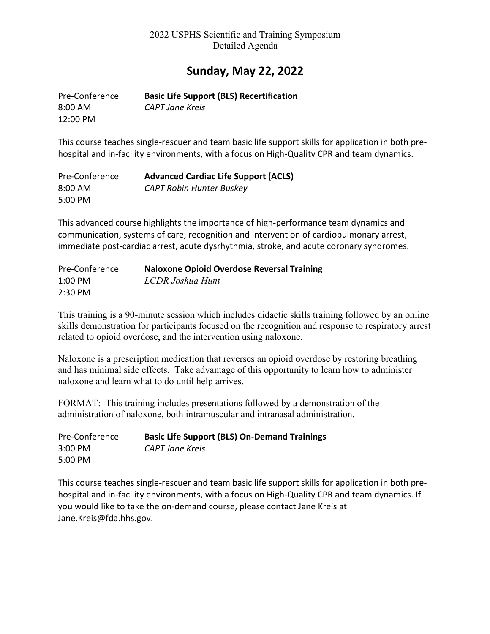## **Sunday, May 22, 2022**

| Pre-Conference | <b>Basic Life Support (BLS) Recertification</b> |
|----------------|-------------------------------------------------|
| $8:00$ AM      | CAPT Jane Kreis                                 |
| 12:00 PM       |                                                 |

This course teaches single-rescuer and team basic life support skills for application in both prehospital and in-facility environments, with a focus on High-Quality CPR and team dynamics.

| Pre-Conference | <b>Advanced Cardiac Life Support (ACLS)</b> |
|----------------|---------------------------------------------|
| 8:00 AM        | <b>CAPT Robin Hunter Buskey</b>             |
| 5:00 PM        |                                             |

This advanced course highlights the importance of high-performance team dynamics and communication, systems of care, recognition and intervention of cardiopulmonary arrest, immediate post-cardiac arrest, acute dysrhythmia, stroke, and acute coronary syndromes.

| Pre-Conference | <b>Naloxone Opioid Overdose Reversal Training</b> |
|----------------|---------------------------------------------------|
| 1:00 PM        | LCDR Joshua Hunt                                  |
| 2:30 PM        |                                                   |

This training is a 90-minute session which includes didactic skills training followed by an online skills demonstration for participants focused on the recognition and response to respiratory arrest related to opioid overdose, and the intervention using naloxone.

Naloxone is a prescription medication that reverses an opioid overdose by restoring breathing and has minimal side effects. Take advantage of this opportunity to learn how to administer naloxone and learn what to do until help arrives.

FORMAT: This training includes presentations followed by a demonstration of the administration of naloxone, both intramuscular and intranasal administration.

| Pre-Conference | <b>Basic Life Support (BLS) On-Demand Trainings</b> |
|----------------|-----------------------------------------------------|
| $3:00$ PM      | CAPT Jane Kreis                                     |
| 5:00 PM        |                                                     |

This course teaches single-rescuer and team basic life support skills for application in both prehospital and in-facility environments, with a focus on High-Quality CPR and team dynamics. If you would like to take the on-demand course, please contact Jane Kreis at Jane.Kreis@fda.hhs.gov.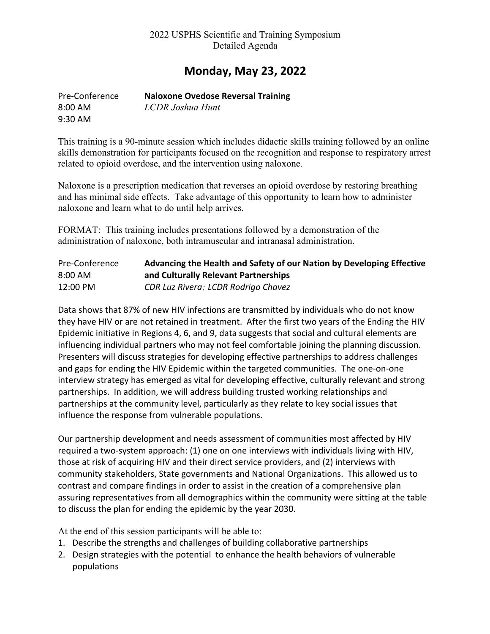## **Monday, May 23, 2022**

| Pre-Conference | <b>Naloxone Ovedose Reversal Training</b> |
|----------------|-------------------------------------------|
| 8:00 AM        | LCDR Joshua Hunt                          |
| $9:30$ AM      |                                           |

This training is a 90-minute session which includes didactic skills training followed by an online skills demonstration for participants focused on the recognition and response to respiratory arrest related to opioid overdose, and the intervention using naloxone.

Naloxone is a prescription medication that reverses an opioid overdose by restoring breathing and has minimal side effects. Take advantage of this opportunity to learn how to administer naloxone and learn what to do until help arrives.

FORMAT: This training includes presentations followed by a demonstration of the administration of naloxone, both intramuscular and intranasal administration.

| Pre-Conference | Advancing the Health and Safety of our Nation by Developing Effective |
|----------------|-----------------------------------------------------------------------|
| 8:00 AM        | and Culturally Relevant Partnerships                                  |
| 12:00 PM       | CDR Luz Rivera; LCDR Rodrigo Chavez                                   |

Data shows that 87% of new HIV infections are transmitted by individuals who do not know they have HIV or are not retained in treatment. After the first two years of the Ending the HIV Epidemic initiative in Regions 4, 6, and 9, data suggests that social and cultural elements are influencing individual partners who may not feel comfortable joining the planning discussion. Presenters will discuss strategies for developing effective partnerships to address challenges and gaps for ending the HIV Epidemic within the targeted communities. The one-on-one interview strategy has emerged as vital for developing effective, culturally relevant and strong partnerships. In addition, we will address building trusted working relationships and partnerships at the community level, particularly as they relate to key social issues that influence the response from vulnerable populations.

Our partnership development and needs assessment of communities most affected by HIV required a two-system approach: (1) one on one interviews with individuals living with HIV, those at risk of acquiring HIV and their direct service providers, and (2) interviews with community stakeholders, State governments and National Organizations. This allowed us to contrast and compare findings in order to assist in the creation of a comprehensive plan assuring representatives from all demographics within the community were sitting at the table to discuss the plan for ending the epidemic by the year 2030.

At the end of this session participants will be able to:

- 1. Describe the strengths and challenges of building collaborative partnerships
- 2. Design strategies with the potential to enhance the health behaviors of vulnerable populations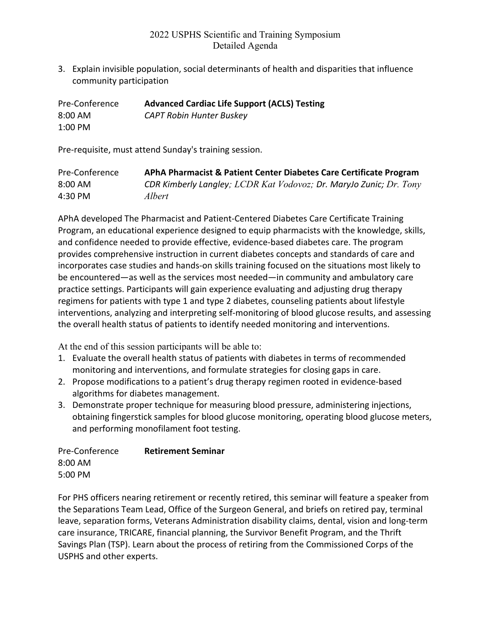3. Explain invisible population, social determinants of health and disparities that influence community participation

| Pre-Conference | <b>Advanced Cardiac Life Support (ACLS) Testing</b> |
|----------------|-----------------------------------------------------|
| $8:00$ AM      | <b>CAPT Robin Hunter Buskey</b>                     |
| 1:00 PM        |                                                     |

Pre-requisite, must attend Sunday's training session.

| Pre-Conference    | APhA Pharmacist & Patient Center Diabetes Care Certificate Program |
|-------------------|--------------------------------------------------------------------|
| $8:00 \text{ AM}$ | CDR Kimberly Langley; LCDR Kat Vodovoz; Dr. MaryJo Zunic; Dr. Tony |
| 4:30 PM           | Albert                                                             |

APhA developed The Pharmacist and Patient-Centered Diabetes Care Certificate Training Program, an educational experience designed to equip pharmacists with the knowledge, skills, and confidence needed to provide effective, evidence-based diabetes care. The program provides comprehensive instruction in current diabetes concepts and standards of care and incorporates case studies and hands-on skills training focused on the situations most likely to be encountered—as well as the services most needed—in community and ambulatory care practice settings. Participants will gain experience evaluating and adjusting drug therapy regimens for patients with type 1 and type 2 diabetes, counseling patients about lifestyle interventions, analyzing and interpreting self-monitoring of blood glucose results, and assessing the overall health status of patients to identify needed monitoring and interventions.

At the end of this session participants will be able to:

- 1. Evaluate the overall health status of patients with diabetes in terms of recommended monitoring and interventions, and formulate strategies for closing gaps in care.
- 2. Propose modifications to a patient's drug therapy regimen rooted in evidence-based algorithms for diabetes management.
- 3. Demonstrate proper technique for measuring blood pressure, administering injections, obtaining fingerstick samples for blood glucose monitoring, operating blood glucose meters, and performing monofilament foot testing.

| Pre-Conference | <b>Retirement Seminar</b> |
|----------------|---------------------------|
| $8:00$ AM      |                           |
| 5:00 PM        |                           |

For PHS officers nearing retirement or recently retired, this seminar will feature a speaker from the Separations Team Lead, Office of the Surgeon General, and briefs on retired pay, terminal leave, separation forms, Veterans Administration disability claims, dental, vision and long-term care insurance, TRICARE, financial planning, the Survivor Benefit Program, and the Thrift Savings Plan (TSP). Learn about the process of retiring from the Commissioned Corps of the USPHS and other experts.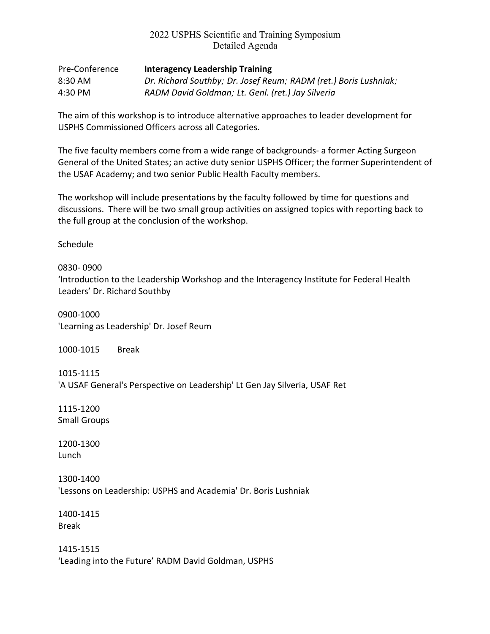| Pre-Conference | <b>Interagency Leadership Training</b>                           |
|----------------|------------------------------------------------------------------|
| 8:30 AM        | Dr. Richard Southby; Dr. Josef Reum; RADM (ret.) Boris Lushniak; |
| 4:30 PM        | RADM David Goldman; Lt. Genl. (ret.) Jay Silveria                |

The aim of this workshop is to introduce alternative approaches to leader development for USPHS Commissioned Officers across all Categories.

The five faculty members come from a wide range of backgrounds- a former Acting Surgeon General of the United States; an active duty senior USPHS Officer; the former Superintendent of the USAF Academy; and two senior Public Health Faculty members.

The workshop will include presentations by the faculty followed by time for questions and discussions. There will be two small group activities on assigned topics with reporting back to the full group at the conclusion of the workshop.

Schedule

0830- 0900 'Introduction to the Leadership Workshop and the Interagency Institute for Federal Health Leaders' Dr. Richard Southby

0900-1000 'Learning as Leadership' Dr. Josef Reum

1000-1015 Break

1015-1115 'A USAF General's Perspective on Leadership' Lt Gen Jay Silveria, USAF Ret

1115-1200 Small Groups

1200-1300 Lunch

1300-1400 'Lessons on Leadership: USPHS and Academia' Dr. Boris Lushniak

1400-1415 Break

1415-1515 'Leading into the Future' RADM David Goldman, USPHS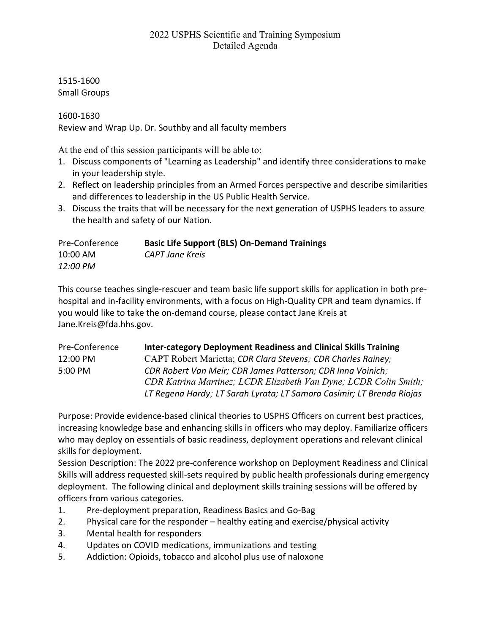1515-1600 Small Groups

1600-1630

Review and Wrap Up. Dr. Southby and all faculty members

At the end of this session participants will be able to:

- 1. Discuss components of "Learning as Leadership" and identify three considerations to make in your leadership style.
- 2. Reflect on leadership principles from an Armed Forces perspective and describe similarities and differences to leadership in the US Public Health Service.
- 3. Discuss the traits that will be necessary for the next generation of USPHS leaders to assure the health and safety of our Nation.

| Pre-Conference | <b>Basic Life Support (BLS) On-Demand Trainings</b> |
|----------------|-----------------------------------------------------|
| 10:00 AM       | CAPT Jane Kreis                                     |
| 12:00 PM       |                                                     |

This course teaches single-rescuer and team basic life support skills for application in both prehospital and in-facility environments, with a focus on High-Quality CPR and team dynamics. If you would like to take the on-demand course, please contact Jane Kreis at Jane.Kreis@fda.hhs.gov.

| Pre-Conference | <b>Inter-category Deployment Readiness and Clinical Skills Training</b> |
|----------------|-------------------------------------------------------------------------|
| 12:00 PM       | CAPT Robert Marietta; CDR Clara Stevens; CDR Charles Rainey;            |
| 5:00 PM        | CDR Robert Van Meir; CDR James Patterson; CDR Inna Voinich;             |
|                | CDR Katrina Martinez; LCDR Elizabeth Van Dyne; LCDR Colin Smith;        |
|                | LT Regena Hardy; LT Sarah Lyrata; LT Samora Casimir; LT Brenda Riojas   |

Purpose: Provide evidence-based clinical theories to USPHS Officers on current best practices, increasing knowledge base and enhancing skills in officers who may deploy. Familiarize officers who may deploy on essentials of basic readiness, deployment operations and relevant clinical skills for deployment.

Session Description: The 2022 pre-conference workshop on Deployment Readiness and Clinical Skills will address requested skill-sets required by public health professionals during emergency deployment. The following clinical and deployment skills training sessions will be offered by officers from various categories.

- 1. Pre-deployment preparation, Readiness Basics and Go-Bag
- 2. Physical care for the responder healthy eating and exercise/physical activity
- 3. Mental health for responders
- 4. Updates on COVID medications, immunizations and testing
- 5. Addiction: Opioids, tobacco and alcohol plus use of naloxone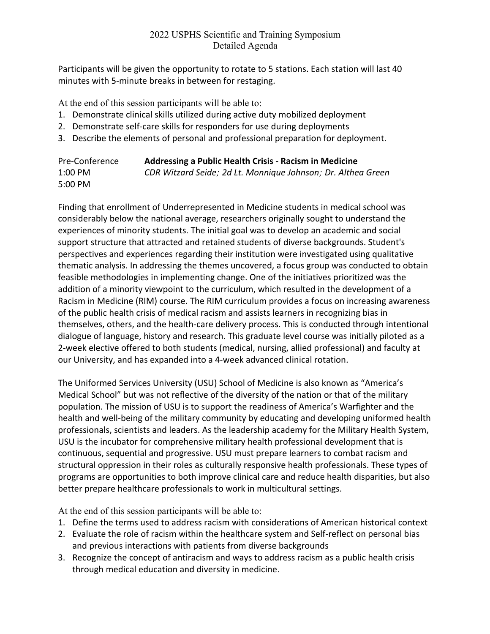Participants will be given the opportunity to rotate to 5 stations. Each station will last 40 minutes with 5-minute breaks in between for restaging.

At the end of this session participants will be able to:

- 1. Demonstrate clinical skills utilized during active duty mobilized deployment
- 2. Demonstrate self-care skills for responders for use during deployments
- 3. Describe the elements of personal and professional preparation for deployment.

| Pre-Conference | Addressing a Public Health Crisis - Racism in Medicine       |
|----------------|--------------------------------------------------------------|
| 1:00 PM        | CDR Witzard Seide; 2d Lt. Monnique Johnson; Dr. Althea Green |
| 5:00 PM        |                                                              |

Finding that enrollment of Underrepresented in Medicine students in medical school was considerably below the national average, researchers originally sought to understand the experiences of minority students. The initial goal was to develop an academic and social support structure that attracted and retained students of diverse backgrounds. Student's perspectives and experiences regarding their institution were investigated using qualitative thematic analysis. In addressing the themes uncovered, a focus group was conducted to obtain feasible methodologies in implementing change. One of the initiatives prioritized was the addition of a minority viewpoint to the curriculum, which resulted in the development of a Racism in Medicine (RIM) course. The RIM curriculum provides a focus on increasing awareness of the public health crisis of medical racism and assists learners in recognizing bias in themselves, others, and the health-care delivery process. This is conducted through intentional dialogue of language, history and research. This graduate level course was initially piloted as a 2-week elective offered to both students (medical, nursing, allied professional) and faculty at our University, and has expanded into a 4-week advanced clinical rotation.

The Uniformed Services University (USU) School of Medicine is also known as "America's Medical School" but was not reflective of the diversity of the nation or that of the military population. The mission of USU is to support the readiness of America's Warfighter and the health and well-being of the military community by educating and developing uniformed health professionals, scientists and leaders. As the leadership academy for the Military Health System, USU is the incubator for comprehensive military health professional development that is continuous, sequential and progressive. USU must prepare learners to combat racism and structural oppression in their roles as culturally responsive health professionals. These types of programs are opportunities to both improve clinical care and reduce health disparities, but also better prepare healthcare professionals to work in multicultural settings.

At the end of this session participants will be able to:

- 1. Define the terms used to address racism with considerations of American historical context
- 2. Evaluate the role of racism within the healthcare system and Self-reflect on personal bias and previous interactions with patients from diverse backgrounds
- 3. Recognize the concept of antiracism and ways to address racism as a public health crisis through medical education and diversity in medicine.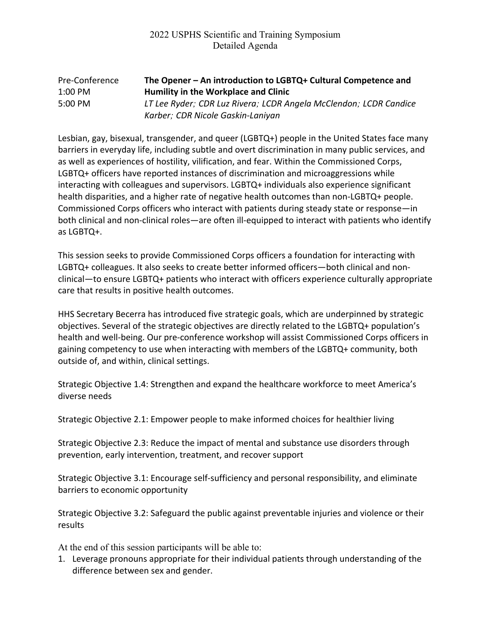#### Pre-Conference **The Opener – An introduction to LGBTQ+ Cultural Competence and**  1:00 PM **Humility in the Workplace and Clinic** 5:00 PM *LT Lee Ryder; CDR Luz Rivera; LCDR Angela McClendon; LCDR Candice Karber; CDR Nicole Gaskin-Laniyan*

Lesbian, gay, bisexual, transgender, and queer (LGBTQ+) people in the United States face many barriers in everyday life, including subtle and overt discrimination in many public services, and as well as experiences of hostility, vilification, and fear. Within the Commissioned Corps, LGBTQ+ officers have reported instances of discrimination and microaggressions while interacting with colleagues and supervisors. LGBTQ+ individuals also experience significant health disparities, and a higher rate of negative health outcomes than non-LGBTQ+ people. Commissioned Corps officers who interact with patients during steady state or response—in both clinical and non-clinical roles—are often ill-equipped to interact with patients who identify as LGBTQ+.

This session seeks to provide Commissioned Corps officers a foundation for interacting with LGBTQ+ colleagues. It also seeks to create better informed officers—both clinical and nonclinical—to ensure LGBTQ+ patients who interact with officers experience culturally appropriate care that results in positive health outcomes.

HHS Secretary Becerra has introduced five strategic goals, which are underpinned by strategic objectives. Several of the strategic objectives are directly related to the LGBTQ+ population's health and well-being. Our pre-conference workshop will assist Commissioned Corps officers in gaining competency to use when interacting with members of the LGBTQ+ community, both outside of, and within, clinical settings.

Strategic Objective 1.4: Strengthen and expand the healthcare workforce to meet America's diverse needs

Strategic Objective 2.1: Empower people to make informed choices for healthier living

Strategic Objective 2.3: Reduce the impact of mental and substance use disorders through prevention, early intervention, treatment, and recover support

Strategic Objective 3.1: Encourage self-sufficiency and personal responsibility, and eliminate barriers to economic opportunity

Strategic Objective 3.2: Safeguard the public against preventable injuries and violence or their results

At the end of this session participants will be able to:

1. Leverage pronouns appropriate for their individual patients through understanding of the difference between sex and gender.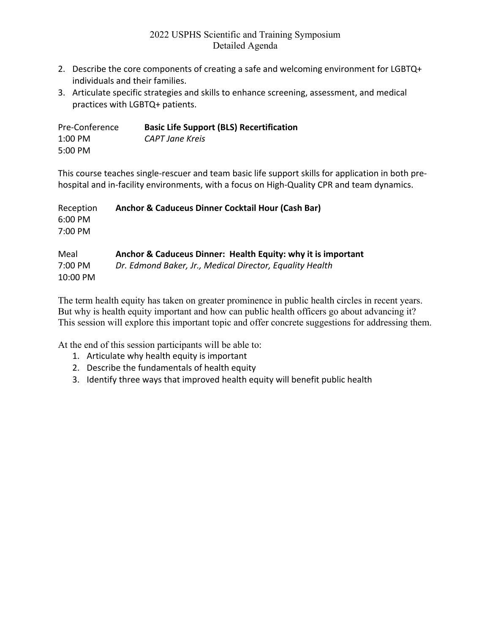- 2. Describe the core components of creating a safe and welcoming environment for LGBTQ+ individuals and their families.
- 3. Articulate specific strategies and skills to enhance screening, assessment, and medical practices with LGBTQ+ patients.

| Pre-Conference | <b>Basic Life Support (BLS) Recertification</b> |
|----------------|-------------------------------------------------|
| $1:00$ PM      | CAPT Jane Kreis                                 |
| 5:00 PM        |                                                 |

This course teaches single-rescuer and team basic life support skills for application in both prehospital and in-facility environments, with a focus on High-Quality CPR and team dynamics.

| Reception | Anchor & Caduceus Dinner Cocktail Hour (Cash Bar)            |
|-----------|--------------------------------------------------------------|
| 6:00 PM   |                                                              |
| 7:00 PM   |                                                              |
| Meal      | Anchor & Caduceus Dinner: Health Equity: why it is important |
| 7:00 PM   | Dr. Edmond Baker, Jr., Medical Director, Equality Health     |
| 10:00 PM  |                                                              |

The term health equity has taken on greater prominence in public health circles in recent years. But why is health equity important and how can public health officers go about advancing it? This session will explore this important topic and offer concrete suggestions for addressing them.

At the end of this session participants will be able to:

- 1. Articulate why health equity is important
- 2. Describe the fundamentals of health equity
- 3. Identify three ways that improved health equity will benefit public health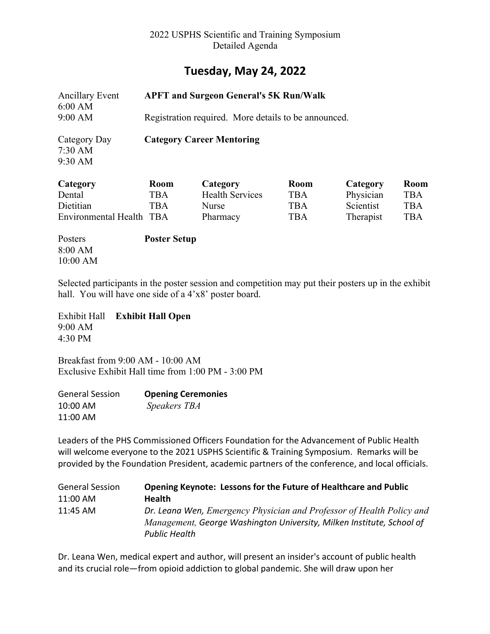## **Tuesday, May 24, 2022**

| <b>Ancillary Event</b><br>6:00 AM              |                     | <b>APFT and Surgeon General's 5K Run/Walk</b>        |             |           |            |
|------------------------------------------------|---------------------|------------------------------------------------------|-------------|-----------|------------|
| 9:00 AM                                        |                     | Registration required. More details to be announced. |             |           |            |
| Category Day<br>$7:30 \text{ AM}$<br>$9:30$ AM |                     | <b>Category Career Mentoring</b>                     |             |           |            |
| Category                                       | <b>Room</b>         | Category                                             | <b>Room</b> | Category  | Room       |
| Dental                                         | <b>TBA</b>          | <b>Health Services</b>                               | <b>TBA</b>  | Physician | <b>TBA</b> |
| Dietitian                                      | <b>TBA</b>          | <b>Nurse</b>                                         | <b>TBA</b>  | Scientist | <b>TBA</b> |
| Environmental Health TBA                       |                     | Pharmacy                                             | <b>TBA</b>  | Therapist | <b>TBA</b> |
| Posters                                        | <b>Poster Setup</b> |                                                      |             |           |            |

Selected participants in the poster session and competition may put their posters up in the exhibit hall. You will have one side of a 4'x8' poster board.

Exhibit Hall **Exhibit Hall Open** 9:00 AM 4:30 PM

8:00 AM 10:00 AM

Breakfast from 9:00 AM - 10:00 AM Exclusive Exhibit Hall time from 1:00 PM - 3:00 PM

| <b>General Session</b> | <b>Opening Ceremonies</b> |
|------------------------|---------------------------|
| 10:00 AM               | Speakers TBA              |
| 11:00 AM               |                           |

Leaders of the PHS Commissioned Officers Foundation for the Advancement of Public Health will welcome everyone to the 2021 USPHS Scientific & Training Symposium. Remarks will be provided by the Foundation President, academic partners of the conference, and local officials.

| <b>General Session</b> | Opening Keynote: Lessons for the Future of Healthcare and Public      |
|------------------------|-----------------------------------------------------------------------|
| 11:00 AM               | <b>Health</b>                                                         |
| 11:45 AM               | Dr. Leana Wen, Emergency Physician and Professor of Health Policy and |
|                        | Management, George Washington University, Milken Institute, School of |
|                        | <b>Public Health</b>                                                  |

Dr. Leana Wen, medical expert and author, will present an insider's account of public health and its crucial role―from opioid addiction to global pandemic. She will draw upon her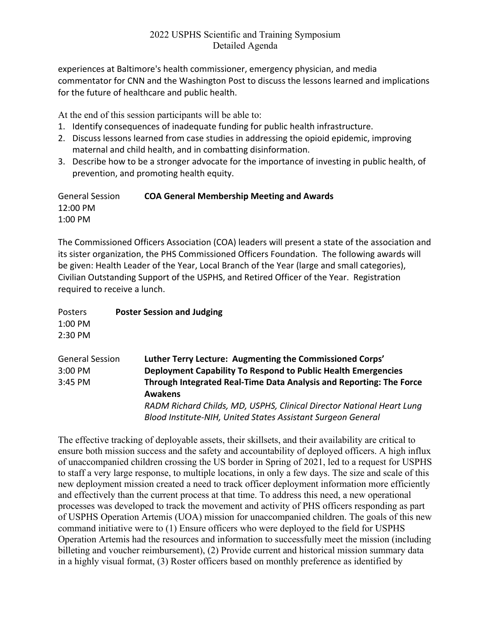experiences at Baltimore's health commissioner, emergency physician, and media commentator for CNN and the Washington Post to discuss the lessons learned and implications for the future of healthcare and public health.

At the end of this session participants will be able to:

- 1. Identify consequences of inadequate funding for public health infrastructure.
- 2. Discuss lessons learned from case studies in addressing the opioid epidemic, improving maternal and child health, and in combatting disinformation.
- 3. Describe how to be a stronger advocate for the importance of investing in public health, of prevention, and promoting health equity.

General Session **COA General Membership Meeting and Awards** 12:00 PM 1:00 PM

The Commissioned Officers Association (COA) leaders will present a state of the association and its sister organization, the PHS Commissioned Officers Foundation. The following awards will be given: Health Leader of the Year, Local Branch of the Year (large and small categories), Civilian Outstanding Support of the USPHS, and Retired Officer of the Year. Registration required to receive a lunch.

| Posters                | <b>Poster Session and Judging</b>                                     |
|------------------------|-----------------------------------------------------------------------|
| $1:00$ PM              |                                                                       |
| 2:30 PM                |                                                                       |
| <b>General Session</b> | Luther Terry Lecture: Augmenting the Commissioned Corps'              |
| 3:00 PM                | Deployment Capability To Respond to Public Health Emergencies         |
| 3:45 PM                | Through Integrated Real-Time Data Analysis and Reporting: The Force   |
|                        | <b>Awakens</b>                                                        |
|                        | RADM Richard Childs, MD, USPHS, Clinical Director National Heart Lung |
|                        | Blood Institute-NIH, United States Assistant Surgeon General          |

The effective tracking of deployable assets, their skillsets, and their availability are critical to ensure both mission success and the safety and accountability of deployed officers. A high influx of unaccompanied children crossing the US border in Spring of 2021, led to a request for USPHS to staff a very large response, to multiple locations, in only a few days. The size and scale of this new deployment mission created a need to track officer deployment information more efficiently and effectively than the current process at that time. To address this need, a new operational processes was developed to track the movement and activity of PHS officers responding as part of USPHS Operation Artemis (UOA) mission for unaccompanied children. The goals of this new command initiative were to (1) Ensure officers who were deployed to the field for USPHS Operation Artemis had the resources and information to successfully meet the mission (including billeting and voucher reimbursement), (2) Provide current and historical mission summary data in a highly visual format, (3) Roster officers based on monthly preference as identified by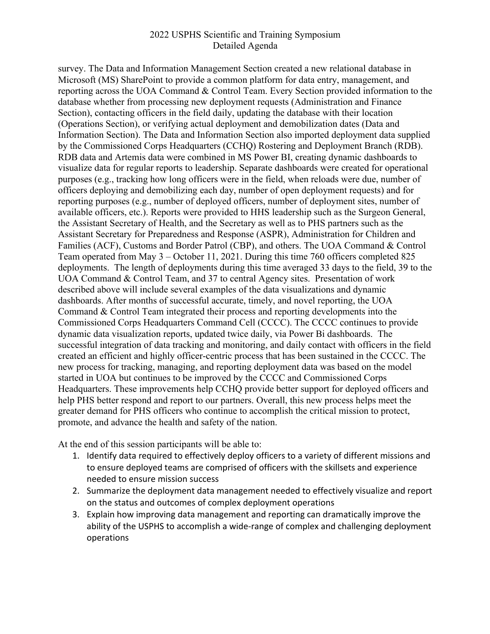survey. The Data and Information Management Section created a new relational database in Microsoft (MS) SharePoint to provide a common platform for data entry, management, and reporting across the UOA Command & Control Team. Every Section provided information to the database whether from processing new deployment requests (Administration and Finance Section), contacting officers in the field daily, updating the database with their location (Operations Section), or verifying actual deployment and demobilization dates (Data and Information Section). The Data and Information Section also imported deployment data supplied by the Commissioned Corps Headquarters (CCHQ) Rostering and Deployment Branch (RDB). RDB data and Artemis data were combined in MS Power BI, creating dynamic dashboards to visualize data for regular reports to leadership. Separate dashboards were created for operational purposes (e.g., tracking how long officers were in the field, when reloads were due, number of officers deploying and demobilizing each day, number of open deployment requests) and for reporting purposes (e.g., number of deployed officers, number of deployment sites, number of available officers, etc.). Reports were provided to HHS leadership such as the Surgeon General, the Assistant Secretary of Health, and the Secretary as well as to PHS partners such as the Assistant Secretary for Preparedness and Response (ASPR), Administration for Children and Families (ACF), Customs and Border Patrol (CBP), and others. The UOA Command & Control Team operated from May 3 – October 11, 2021. During this time 760 officers completed 825 deployments. The length of deployments during this time averaged 33 days to the field, 39 to the UOA Command & Control Team, and 37 to central Agency sites. Presentation of work described above will include several examples of the data visualizations and dynamic dashboards. After months of successful accurate, timely, and novel reporting, the UOA Command & Control Team integrated their process and reporting developments into the Commissioned Corps Headquarters Command Cell (CCCC). The CCCC continues to provide dynamic data visualization reports, updated twice daily, via Power Bi dashboards. The successful integration of data tracking and monitoring, and daily contact with officers in the field created an efficient and highly officer-centric process that has been sustained in the CCCC. The new process for tracking, managing, and reporting deployment data was based on the model started in UOA but continues to be improved by the CCCC and Commissioned Corps Headquarters. These improvements help CCHQ provide better support for deployed officers and help PHS better respond and report to our partners. Overall, this new process helps meet the greater demand for PHS officers who continue to accomplish the critical mission to protect, promote, and advance the health and safety of the nation.

At the end of this session participants will be able to:

- 1. Identify data required to effectively deploy officers to a variety of different missions and to ensure deployed teams are comprised of officers with the skillsets and experience needed to ensure mission success
- 2. Summarize the deployment data management needed to effectively visualize and report on the status and outcomes of complex deployment operations
- 3. Explain how improving data management and reporting can dramatically improve the ability of the USPHS to accomplish a wide-range of complex and challenging deployment operations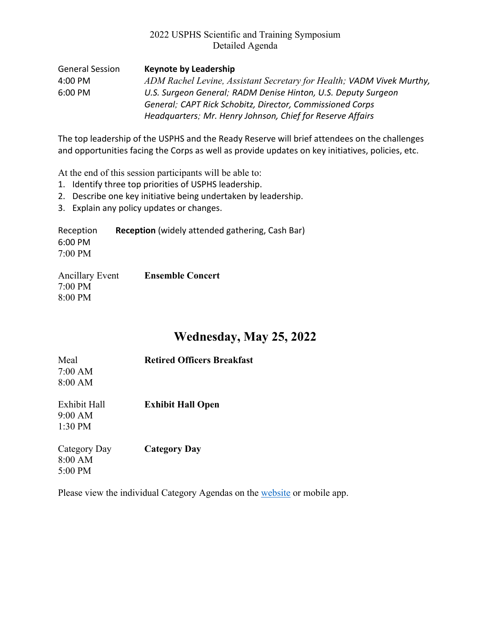| General Session   | <b>Keynote by Leadership</b>                                          |
|-------------------|-----------------------------------------------------------------------|
| 4:00 PM           | ADM Rachel Levine, Assistant Secretary for Health; VADM Vivek Murthy, |
| $6:00 \text{ PM}$ | U.S. Surgeon General; RADM Denise Hinton, U.S. Deputy Surgeon         |
|                   | General; CAPT Rick Schobitz, Director, Commissioned Corps             |
|                   | Headquarters; Mr. Henry Johnson, Chief for Reserve Affairs            |

The top leadership of the USPHS and the Ready Reserve will brief attendees on the challenges and opportunities facing the Corps as well as provide updates on key initiatives, policies, etc.

At the end of this session participants will be able to:

- 1. Identify three top priorities of USPHS leadership.
- 2. Describe one key initiative being undertaken by leadership.
- 3. Explain any policy updates or changes.

Reception **Reception** (widely attended gathering, Cash Bar) 6:00 PM 7:00 PM

| <b>Ancillary Event</b> | <b>Ensemble Concert</b> |
|------------------------|-------------------------|
| $7:00$ PM              |                         |
| 8:00 PM                |                         |

# **Wednesday, May 25, 2022**

| Meal<br>$7:00$ AM<br>8:00 AM         | <b>Retired Officers Breakfast</b> |  |
|--------------------------------------|-----------------------------------|--|
| Exhibit Hall<br>9:00 AM<br>$1:30$ PM | <b>Exhibit Hall Open</b>          |  |
| Category Day<br>8:00 AM<br>$5:00$ PM | <b>Category Day</b>               |  |

Please view the individual Category Agendas on the website or mobile app.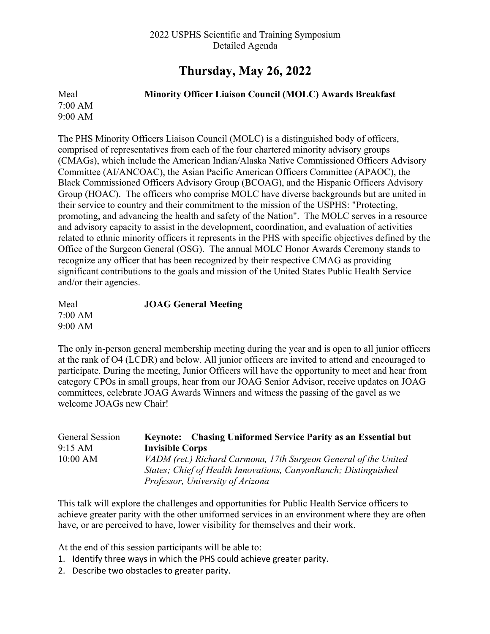# **Thursday, May 26, 2022**

Meal **Minority Officer Liaison Council (MOLC) Awards Breakfast** 7:00 AM 9:00 AM

The PHS Minority Officers Liaison Council (MOLC) is a distinguished body of officers, comprised of representatives from each of the four chartered minority advisory groups (CMAGs), which include the American Indian/Alaska Native Commissioned Officers Advisory Committee (AI/ANCOAC), the Asian Pacific American Officers Committee (APAOC), the Black Commissioned Officers Advisory Group (BCOAG), and the Hispanic Officers Advisory Group (HOAC). The officers who comprise MOLC have diverse backgrounds but are united in their service to country and their commitment to the mission of the USPHS: "Protecting, promoting, and advancing the health and safety of the Nation". The MOLC serves in a resource and advisory capacity to assist in the development, coordination, and evaluation of activities related to ethnic minority officers it represents in the PHS with specific objectives defined by the Office of the Surgeon General (OSG). The annual MOLC Honor Awards Ceremony stands to recognize any officer that has been recognized by their respective CMAG as providing significant contributions to the goals and mission of the United States Public Health Service and/or their agencies.

| Meal    | <b>JOAG General Meeting</b> |
|---------|-----------------------------|
| 7:00 AM |                             |
| 9:00 AM |                             |

The only in-person general membership meeting during the year and is open to all junior officers at the rank of O4 (LCDR) and below. All junior officers are invited to attend and encouraged to participate. During the meeting, Junior Officers will have the opportunity to meet and hear from category CPOs in small groups, hear from our JOAG Senior Advisor, receive updates on JOAG committees, celebrate JOAG Awards Winners and witness the passing of the gavel as we welcome JOAGs new Chair!

| General Session   | Keynote: Chasing Uniformed Service Parity as an Essential but   |
|-------------------|-----------------------------------------------------------------|
| $9:15 \text{ AM}$ | <b>Invisible Corps</b>                                          |
| $10:00$ AM        | VADM (ret.) Richard Carmona, 17th Surgeon General of the United |
|                   | States; Chief of Health Innovations, CanyonRanch; Distinguished |
|                   | Professor, University of Arizona                                |

This talk will explore the challenges and opportunities for Public Health Service officers to achieve greater parity with the other uniformed services in an environment where they are often have, or are perceived to have, lower visibility for themselves and their work.

At the end of this session participants will be able to:

- 1. Identify three ways in which the PHS could achieve greater parity.
- 2. Describe two obstacles to greater parity.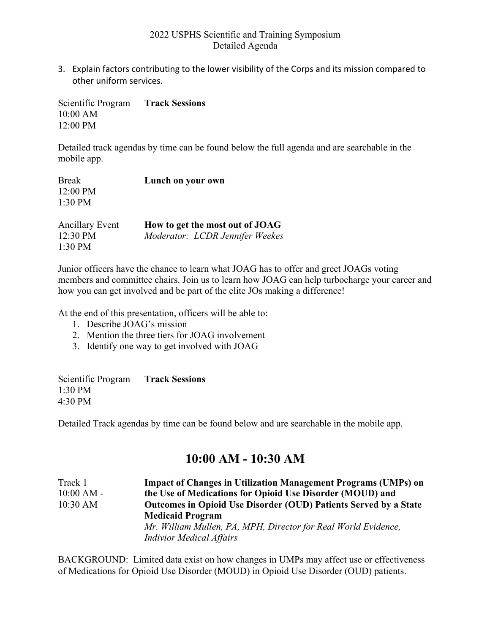3. Explain factors contributing to the lower visibility of the Corps and its mission compared to other uniform services.

Scientific Program **Track Sessions** 10:00 AM 12:00 PM

Detailed track agendas by time can be found below the full agenda and are searchable in the mobile app.

| <b>Break</b>           | Lunch on your own               |
|------------------------|---------------------------------|
| 12:00 PM               |                                 |
| $1:30$ PM              |                                 |
| <b>Ancillary Event</b> | How to get the most out of JOAG |
| $12:30 \text{ PM}$     | Moderator: LCDR Jennifer Weekes |
| $1:30$ PM              |                                 |

Junior officers have the chance to learn what JOAG has to offer and greet JOAGs voting members and committee chairs. Join us to learn how JOAG can help turbocharge your career and how you can get involved and be part of the elite JOs making a difference!

At the end of this presentation, officers will be able to:

- 1. Describe JOAG's mission
- 2. Mention the three tiers for JOAG involvement
- 3. Identify one way to get involved with JOAG

| Scientific Program | <b>Track Sessions</b> |
|--------------------|-----------------------|
| 1:30 PM            |                       |
| 4:30 PM            |                       |

Detailed Track agendas by time can be found below and are searchable in the mobile app.

## **10:00 AM - 10:30 AM**

| Track 1      | <b>Impact of Changes in Utilization Management Programs (UMPs) on</b> |
|--------------|-----------------------------------------------------------------------|
| $10:00 AM -$ | the Use of Medications for Opioid Use Disorder (MOUD) and             |
| 10:30 AM     | Outcomes in Opioid Use Disorder (OUD) Patients Served by a State      |
|              | <b>Medicaid Program</b>                                               |
|              | Mr. William Mullen, PA, MPH, Director for Real World Evidence,        |
|              | <b>Indivior Medical Affairs</b>                                       |

BACKGROUND: Limited data exist on how changes in UMPs may affect use or effectiveness of Medications for Opioid Use Disorder (MOUD) in Opioid Use Disorder (OUD) patients.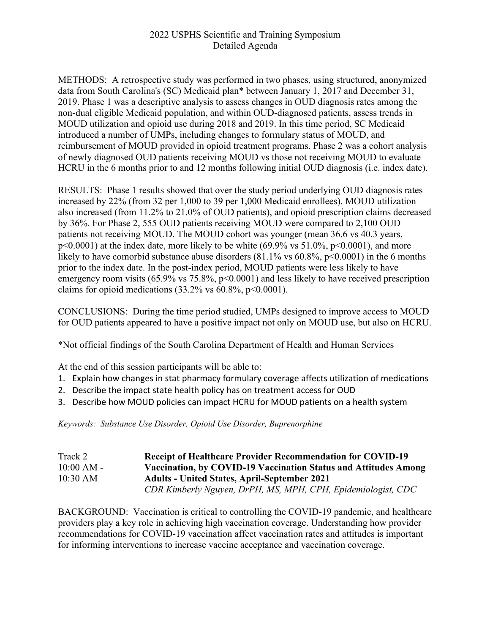METHODS: A retrospective study was performed in two phases, using structured, anonymized data from South Carolina's (SC) Medicaid plan\* between January 1, 2017 and December 31, 2019. Phase 1 was a descriptive analysis to assess changes in OUD diagnosis rates among the non-dual eligible Medicaid population, and within OUD-diagnosed patients, assess trends in MOUD utilization and opioid use during 2018 and 2019. In this time period, SC Medicaid introduced a number of UMPs, including changes to formulary status of MOUD, and reimbursement of MOUD provided in opioid treatment programs. Phase 2 was a cohort analysis of newly diagnosed OUD patients receiving MOUD vs those not receiving MOUD to evaluate HCRU in the 6 months prior to and 12 months following initial OUD diagnosis (i.e. index date).

RESULTS: Phase 1 results showed that over the study period underlying OUD diagnosis rates increased by 22% (from 32 per 1,000 to 39 per 1,000 Medicaid enrollees). MOUD utilization also increased (from 11.2% to 21.0% of OUD patients), and opioid prescription claims decreased by 36%. For Phase 2, 555 OUD patients receiving MOUD were compared to 2,100 OUD patients not receiving MOUD. The MOUD cohort was younger (mean 36.6 vs 40.3 years,  $p<0.0001$ ) at the index date, more likely to be white (69.9% vs 51.0%,  $p<0.0001$ ), and more likely to have comorbid substance abuse disorders  $(81.1\% \text{ vs } 60.8\% \text{, } p<0.0001)$  in the 6 months prior to the index date. In the post-index period, MOUD patients were less likely to have emergency room visits (65.9% vs 75.8%, p<0.0001) and less likely to have received prescription claims for opioid medications  $(33.2\% \text{ vs } 60.8\%, \text{ p} < 0.0001).$ 

CONCLUSIONS: During the time period studied, UMPs designed to improve access to MOUD for OUD patients appeared to have a positive impact not only on MOUD use, but also on HCRU.

\*Not official findings of the South Carolina Department of Health and Human Services

At the end of this session participants will be able to:

- 1. Explain how changes in stat pharmacy formulary coverage affects utilization of medications
- 2. Describe the impact state health policy has on treatment access for OUD
- 3. Describe how MOUD policies can impact HCRU for MOUD patients on a health system

*Keywords: Substance Use Disorder, Opioid Use Disorder, Buprenorphine*

| Track 2      | <b>Receipt of Healthcare Provider Recommendation for COVID-19</b> |
|--------------|-------------------------------------------------------------------|
| $10:00 AM -$ | Vaccination, by COVID-19 Vaccination Status and Attitudes Among   |
| 10:30 AM     | <b>Adults - United States, April-September 2021</b>               |
|              | CDR Kimberly Nguyen, DrPH, MS, MPH, CPH, Epidemiologist, CDC      |

BACKGROUND: Vaccination is critical to controlling the COVID-19 pandemic, and healthcare providers play a key role in achieving high vaccination coverage. Understanding how provider recommendations for COVID-19 vaccination affect vaccination rates and attitudes is important for informing interventions to increase vaccine acceptance and vaccination coverage.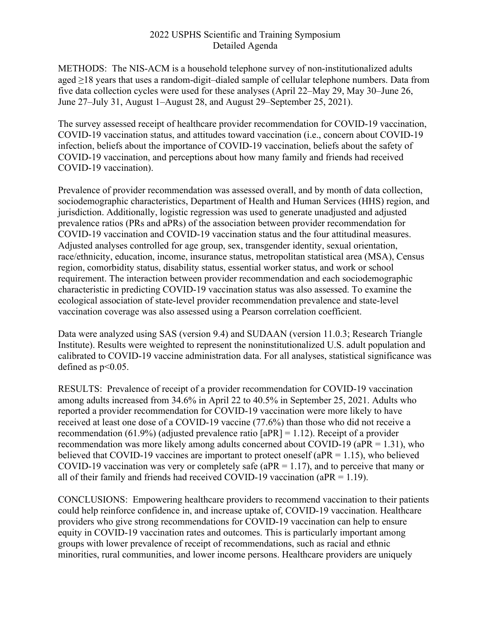METHODS: The NIS-ACM is a household telephone survey of non-institutionalized adults aged ≥18 years that uses a random-digit–dialed sample of cellular telephone numbers. Data from five data collection cycles were used for these analyses (April 22–May 29, May 30–June 26, June 27–July 31, August 1–August 28, and August 29–September 25, 2021).

The survey assessed receipt of healthcare provider recommendation for COVID-19 vaccination, COVID-19 vaccination status, and attitudes toward vaccination (i.e., concern about COVID-19 infection, beliefs about the importance of COVID-19 vaccination, beliefs about the safety of COVID-19 vaccination, and perceptions about how many family and friends had received COVID-19 vaccination).

Prevalence of provider recommendation was assessed overall, and by month of data collection, sociodemographic characteristics, Department of Health and Human Services (HHS) region, and jurisdiction. Additionally, logistic regression was used to generate unadjusted and adjusted prevalence ratios (PRs and aPRs) of the association between provider recommendation for COVID-19 vaccination and COVID-19 vaccination status and the four attitudinal measures. Adjusted analyses controlled for age group, sex, transgender identity, sexual orientation, race/ethnicity, education, income, insurance status, metropolitan statistical area (MSA), Census region, comorbidity status, disability status, essential worker status, and work or school requirement. The interaction between provider recommendation and each sociodemographic characteristic in predicting COVID-19 vaccination status was also assessed. To examine the ecological association of state-level provider recommendation prevalence and state-level vaccination coverage was also assessed using a Pearson correlation coefficient.

Data were analyzed using SAS (version 9.4) and SUDAAN (version 11.0.3; Research Triangle Institute). Results were weighted to represent the noninstitutionalized U.S. adult population and calibrated to COVID-19 vaccine administration data. For all analyses, statistical significance was defined as  $p<0.05$ .

RESULTS: Prevalence of receipt of a provider recommendation for COVID-19 vaccination among adults increased from 34.6% in April 22 to 40.5% in September 25, 2021. Adults who reported a provider recommendation for COVID-19 vaccination were more likely to have received at least one dose of a COVID-19 vaccine (77.6%) than those who did not receive a recommendation (61.9%) (adjusted prevalence ratio  $[aPR] = 1.12$ ). Receipt of a provider recommendation was more likely among adults concerned about COVID-19 ( $aPR = 1.31$ ), who believed that COVID-19 vaccines are important to protect oneself (aPR = 1.15), who believed COVID-19 vaccination was very or completely safe ( $aPR = 1.17$ ), and to perceive that many or all of their family and friends had received COVID-19 vaccination (aPR =  $1.19$ ).

CONCLUSIONS: Empowering healthcare providers to recommend vaccination to their patients could help reinforce confidence in, and increase uptake of, COVID-19 vaccination. Healthcare providers who give strong recommendations for COVID-19 vaccination can help to ensure equity in COVID-19 vaccination rates and outcomes. This is particularly important among groups with lower prevalence of receipt of recommendations, such as racial and ethnic minorities, rural communities, and lower income persons. Healthcare providers are uniquely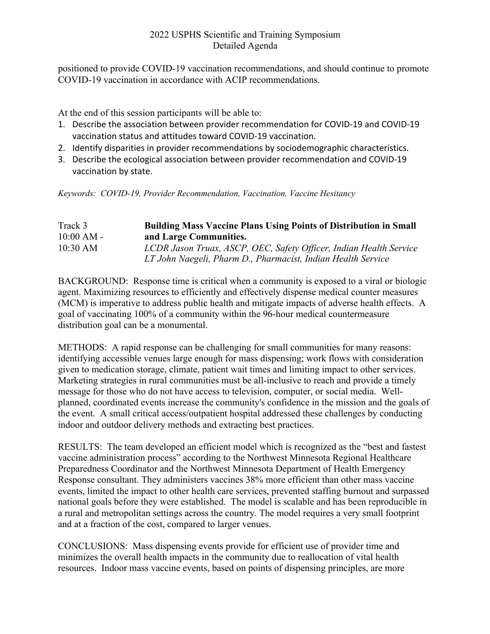positioned to provide COVID-19 vaccination recommendations, and should continue to promote COVID-19 vaccination in accordance with ACIP recommendations.

At the end of this session participants will be able to:

- 1. Describe the association between provider recommendation for COVID-19 and COVID-19 vaccination status and attitudes toward COVID-19 vaccination.
- 2. Identify disparities in provider recommendations by sociodemographic characteristics.
- 3. Describe the ecological association between provider recommendation and COVID-19 vaccination by state.

*Keywords: COVID-19, Provider Recommendation, Vaccination, Vaccine Hesitancy*

### Track 3 **Building Mass Vaccine Plans Using Points of Distribution in Small**  10:00 AM - **and Large Communities.** 10:30 AM *LCDR Jason Truax, ASCP, OEC, Safety Officer, Indian Health Service LT John Naegeli, Pharm D., Pharmacist, Indian Health Service*

BACKGROUND: Response time is critical when a community is exposed to a viral or biologic agent. Maximizing resources to efficiently and effectively dispense medical counter measures (MCM) is imperative to address public health and mitigate impacts of adverse health effects. A goal of vaccinating 100% of a community within the 96-hour medical countermeasure distribution goal can be a monumental.

METHODS: A rapid response can be challenging for small communities for many reasons: identifying accessible venues large enough for mass dispensing; work flows with consideration given to medication storage, climate, patient wait times and limiting impact to other services. Marketing strategies in rural communities must be all-inclusive to reach and provide a timely message for those who do not have access to television, computer, or social media. Wellplanned, coordinated events increase the community's confidence in the mission and the goals of the event. A small critical access/outpatient hospital addressed these challenges by conducting indoor and outdoor delivery methods and extracting best practices.

RESULTS: The team developed an efficient model which is recognized as the "best and fastest vaccine administration process" according to the Northwest Minnesota Regional Healthcare Preparedness Coordinator and the Northwest Minnesota Department of Health Emergency Response consultant. They administers vaccines 38% more efficient than other mass vaccine events, limited the impact to other health care services, prevented staffing burnout and surpassed national goals before they were established. The model is scalable and has been reproducible in a rural and metropolitan settings across the country. The model requires a very small footprint and at a fraction of the cost, compared to larger venues.

CONCLUSIONS: Mass dispensing events provide for efficient use of provider time and minimizes the overall health impacts in the community due to reallocation of vital health resources. Indoor mass vaccine events, based on points of dispensing principles, are more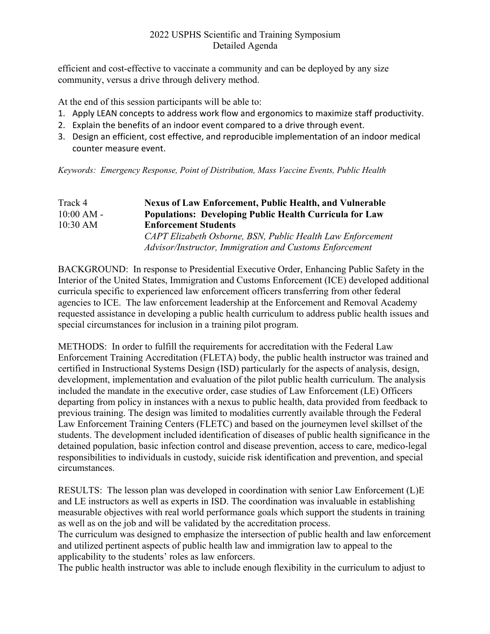efficient and cost-effective to vaccinate a community and can be deployed by any size community, versus a drive through delivery method.

At the end of this session participants will be able to:

- 1. Apply LEAN concepts to address work flow and ergonomics to maximize staff productivity.
- 2. Explain the benefits of an indoor event compared to a drive through event.
- 3. Design an efficient, cost effective, and reproducible implementation of an indoor medical counter measure event.

*Keywords: Emergency Response, Point of Distribution, Mass Vaccine Events, Public Health*

### Track 4 **Nexus of Law Enforcement, Public Health, and Vulnerable**  10:00 AM - **Populations: Developing Public Health Curricula for Law**  10:30 AM **Enforcement Students** *CAPT Elizabeth Osborne, BSN, Public Health Law Enforcement Advisor/Instructor, Immigration and Customs Enforcement*

BACKGROUND: In response to Presidential Executive Order, Enhancing Public Safety in the Interior of the United States, Immigration and Customs Enforcement (ICE) developed additional curricula specific to experienced law enforcement officers transferring from other federal agencies to ICE. The law enforcement leadership at the Enforcement and Removal Academy requested assistance in developing a public health curriculum to address public health issues and special circumstances for inclusion in a training pilot program.

METHODS: In order to fulfill the requirements for accreditation with the Federal Law Enforcement Training Accreditation (FLETA) body, the public health instructor was trained and certified in Instructional Systems Design (ISD) particularly for the aspects of analysis, design, development, implementation and evaluation of the pilot public health curriculum. The analysis included the mandate in the executive order, case studies of Law Enforcement (LE) Officers departing from policy in instances with a nexus to public health, data provided from feedback to previous training. The design was limited to modalities currently available through the Federal Law Enforcement Training Centers (FLETC) and based on the journeymen level skillset of the students. The development included identification of diseases of public health significance in the detained population, basic infection control and disease prevention, access to care, medico-legal responsibilities to individuals in custody, suicide risk identification and prevention, and special circumstances.

RESULTS: The lesson plan was developed in coordination with senior Law Enforcement (L)E and LE instructors as well as experts in ISD. The coordination was invaluable in establishing measurable objectives with real world performance goals which support the students in training as well as on the job and will be validated by the accreditation process.

The curriculum was designed to emphasize the intersection of public health and law enforcement and utilized pertinent aspects of public health law and immigration law to appeal to the applicability to the students' roles as law enforcers.

The public health instructor was able to include enough flexibility in the curriculum to adjust to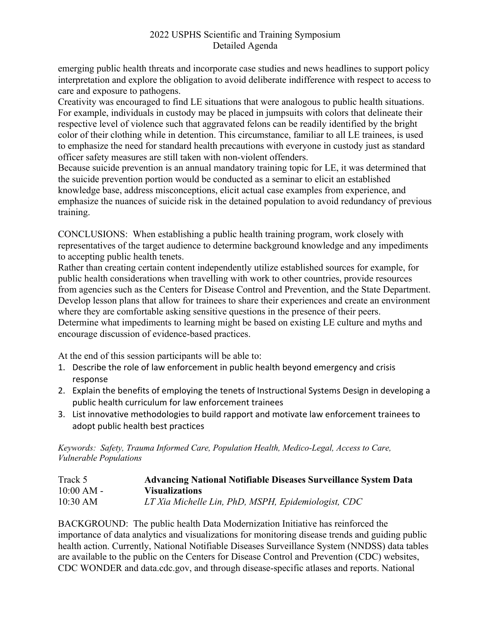emerging public health threats and incorporate case studies and news headlines to support policy interpretation and explore the obligation to avoid deliberate indifference with respect to access to care and exposure to pathogens.

Creativity was encouraged to find LE situations that were analogous to public health situations. For example, individuals in custody may be placed in jumpsuits with colors that delineate their respective level of violence such that aggravated felons can be readily identified by the bright color of their clothing while in detention. This circumstance, familiar to all LE trainees, is used to emphasize the need for standard health precautions with everyone in custody just as standard officer safety measures are still taken with non-violent offenders.

Because suicide prevention is an annual mandatory training topic for LE, it was determined that the suicide prevention portion would be conducted as a seminar to elicit an established knowledge base, address misconceptions, elicit actual case examples from experience, and emphasize the nuances of suicide risk in the detained population to avoid redundancy of previous training.

CONCLUSIONS: When establishing a public health training program, work closely with representatives of the target audience to determine background knowledge and any impediments to accepting public health tenets.

Rather than creating certain content independently utilize established sources for example, for public health considerations when travelling with work to other countries, provide resources from agencies such as the Centers for Disease Control and Prevention, and the State Department. Develop lesson plans that allow for trainees to share their experiences and create an environment where they are comfortable asking sensitive questions in the presence of their peers. Determine what impediments to learning might be based on existing LE culture and myths and encourage discussion of evidence-based practices.

At the end of this session participants will be able to:

- 1. Describe the role of law enforcement in public health beyond emergency and crisis response
- 2. Explain the benefits of employing the tenets of Instructional Systems Design in developing a public health curriculum for law enforcement trainees
- 3. List innovative methodologies to build rapport and motivate law enforcement trainees to adopt public health best practices

*Keywords: Safety, Trauma Informed Care, Population Health, Medico-Legal, Access to Care, Vulnerable Populations*

| Track 5      | <b>Advancing National Notifiable Diseases Surveillance System Data</b> |
|--------------|------------------------------------------------------------------------|
| $10:00 AM -$ | <b>Visualizations</b>                                                  |
| $10:30$ AM   | LT Xia Michelle Lin, PhD, MSPH, Epidemiologist, CDC                    |

BACKGROUND: The public health Data Modernization Initiative has reinforced the importance of data analytics and visualizations for monitoring disease trends and guiding public health action. Currently, National Notifiable Diseases Surveillance System (NNDSS) data tables are available to the public on the Centers for Disease Control and Prevention (CDC) websites, CDC WONDER and data.cdc.gov, and through disease-specific atlases and reports. National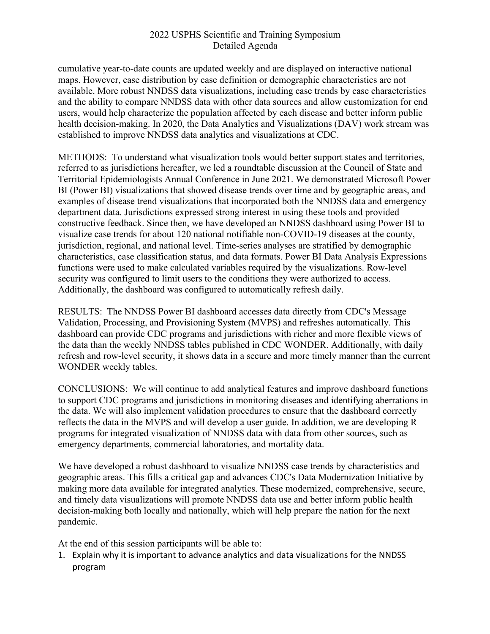cumulative year-to-date counts are updated weekly and are displayed on interactive national maps. However, case distribution by case definition or demographic characteristics are not available. More robust NNDSS data visualizations, including case trends by case characteristics and the ability to compare NNDSS data with other data sources and allow customization for end users, would help characterize the population affected by each disease and better inform public health decision-making. In 2020, the Data Analytics and Visualizations (DAV) work stream was established to improve NNDSS data analytics and visualizations at CDC.

METHODS: To understand what visualization tools would better support states and territories, referred to as jurisdictions hereafter, we led a roundtable discussion at the Council of State and Territorial Epidemiologists Annual Conference in June 2021. We demonstrated Microsoft Power BI (Power BI) visualizations that showed disease trends over time and by geographic areas, and examples of disease trend visualizations that incorporated both the NNDSS data and emergency department data. Jurisdictions expressed strong interest in using these tools and provided constructive feedback. Since then, we have developed an NNDSS dashboard using Power BI to visualize case trends for about 120 national notifiable non-COVID-19 diseases at the county, jurisdiction, regional, and national level. Time-series analyses are stratified by demographic characteristics, case classification status, and data formats. Power BI Data Analysis Expressions functions were used to make calculated variables required by the visualizations. Row-level security was configured to limit users to the conditions they were authorized to access. Additionally, the dashboard was configured to automatically refresh daily.

RESULTS: The NNDSS Power BI dashboard accesses data directly from CDC's Message Validation, Processing, and Provisioning System (MVPS) and refreshes automatically. This dashboard can provide CDC programs and jurisdictions with richer and more flexible views of the data than the weekly NNDSS tables published in CDC WONDER. Additionally, with daily refresh and row-level security, it shows data in a secure and more timely manner than the current WONDER weekly tables.

CONCLUSIONS: We will continue to add analytical features and improve dashboard functions to support CDC programs and jurisdictions in monitoring diseases and identifying aberrations in the data. We will also implement validation procedures to ensure that the dashboard correctly reflects the data in the MVPS and will develop a user guide. In addition, we are developing R programs for integrated visualization of NNDSS data with data from other sources, such as emergency departments, commercial laboratories, and mortality data.

We have developed a robust dashboard to visualize NNDSS case trends by characteristics and geographic areas. This fills a critical gap and advances CDC's Data Modernization Initiative by making more data available for integrated analytics. These modernized, comprehensive, secure, and timely data visualizations will promote NNDSS data use and better inform public health decision-making both locally and nationally, which will help prepare the nation for the next pandemic.

At the end of this session participants will be able to:

1. Explain why it is important to advance analytics and data visualizations for the NNDSS program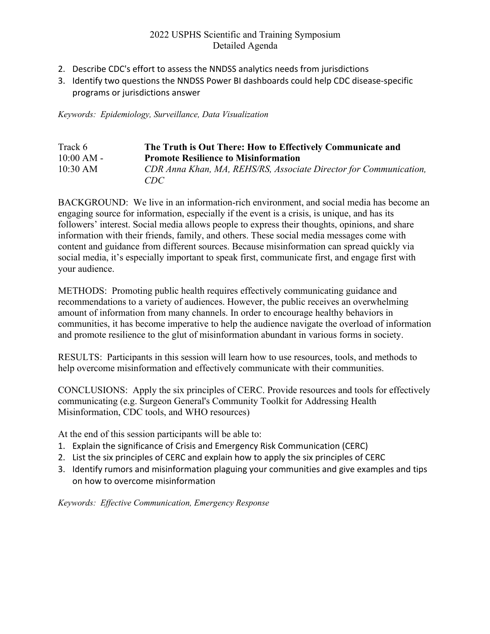- 2. Describe CDC's effort to assess the NNDSS analytics needs from jurisdictions
- 3. Identify two questions the NNDSS Power BI dashboards could help CDC disease-specific programs or jurisdictions answer

*Keywords: Epidemiology, Surveillance, Data Visualization*

| Track 6      | The Truth is Out There: How to Effectively Communicate and        |
|--------------|-------------------------------------------------------------------|
| $10:00 AM -$ | <b>Promote Resilience to Misinformation</b>                       |
| $10:30$ AM   | CDR Anna Khan, MA, REHS/RS, Associate Director for Communication, |
|              | CDC                                                               |

BACKGROUND: We live in an information-rich environment, and social media has become an engaging source for information, especially if the event is a crisis, is unique, and has its followers' interest. Social media allows people to express their thoughts, opinions, and share information with their friends, family, and others. These social media messages come with content and guidance from different sources. Because misinformation can spread quickly via social media, it's especially important to speak first, communicate first, and engage first with your audience.

METHODS: Promoting public health requires effectively communicating guidance and recommendations to a variety of audiences. However, the public receives an overwhelming amount of information from many channels. In order to encourage healthy behaviors in communities, it has become imperative to help the audience navigate the overload of information and promote resilience to the glut of misinformation abundant in various forms in society.

RESULTS: Participants in this session will learn how to use resources, tools, and methods to help overcome misinformation and effectively communicate with their communities.

CONCLUSIONS: Apply the six principles of CERC. Provide resources and tools for effectively communicating (e.g. Surgeon General's Community Toolkit for Addressing Health Misinformation, CDC tools, and WHO resources)

At the end of this session participants will be able to:

- 1. Explain the significance of Crisis and Emergency Risk Communication (CERC)
- 2. List the six principles of CERC and explain how to apply the six principles of CERC
- 3. Identify rumors and misinformation plaguing your communities and give examples and tips on how to overcome misinformation

*Keywords: Effective Communication, Emergency Response*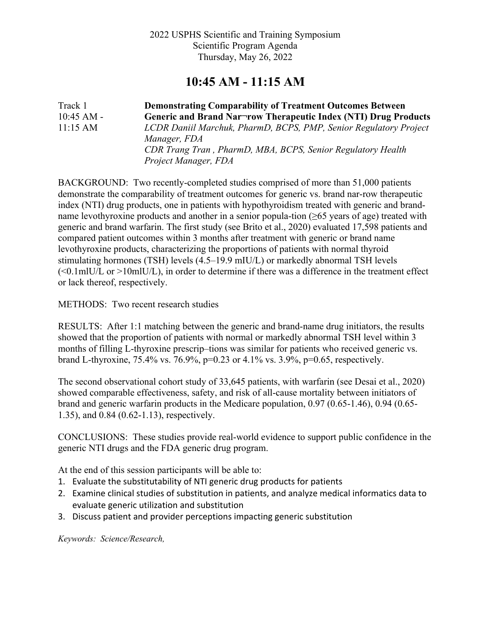## **10:45 AM - 11:15 AM**

Track 1 **Demonstrating Comparability of Treatment Outcomes Between**  10:45 AM - **Generic and Brand Nar¬row Therapeutic Index (NTI) Drug Products** 11:15 AM *LCDR Daniil Marchuk, PharmD, BCPS, PMP, Senior Regulatory Project Manager, FDA CDR Trang Tran , PharmD, MBA, BCPS, Senior Regulatory Health Project Manager, FDA*

BACKGROUND: Two recently-completed studies comprised of more than 51,000 patients demonstrate the comparability of treatment outcomes for generic vs. brand nar-row therapeutic index (NTI) drug products, one in patients with hypothyroidism treated with generic and brandname levothyroxine products and another in a senior popula-tion (≥65 years of age) treated with generic and brand warfarin. The first study (see Brito et al., 2020) evaluated 17,598 patients and compared patient outcomes within 3 months after treatment with generic or brand name levothyroxine products, characterizing the proportions of patients with normal thyroid stimulating hormones (TSH) levels (4.5–19.9 mIU/L) or markedly abnormal TSH levels  $\leq 0.1$ mlU/L or >10mlU/L), in order to determine if there was a difference in the treatment effect or lack thereof, respectively.

METHODS: Two recent research studies

RESULTS: After 1:1 matching between the generic and brand-name drug initiators, the results showed that the proportion of patients with normal or markedly abnormal TSH level within 3 months of filling L-thyroxine prescrip–tions was similar for patients who received generic vs. brand L-thyroxine, 75.4% vs. 76.9%, p=0.23 or 4.1% vs. 3.9%, p=0.65, respectively.

The second observational cohort study of 33,645 patients, with warfarin (see Desai et al., 2020) showed comparable effectiveness, safety, and risk of all-cause mortality between initiators of brand and generic warfarin products in the Medicare population, 0.97 (0.65-1.46), 0.94 (0.65- 1.35), and 0.84 (0.62-1.13), respectively.

CONCLUSIONS: These studies provide real-world evidence to support public confidence in the generic NTI drugs and the FDA generic drug program.

At the end of this session participants will be able to:

- 1. Evaluate the substitutability of NTI generic drug products for patients
- 2. Examine clinical studies of substitution in patients, and analyze medical informatics data to evaluate generic utilization and substitution
- 3. Discuss patient and provider perceptions impacting generic substitution

*Keywords: Science/Research,*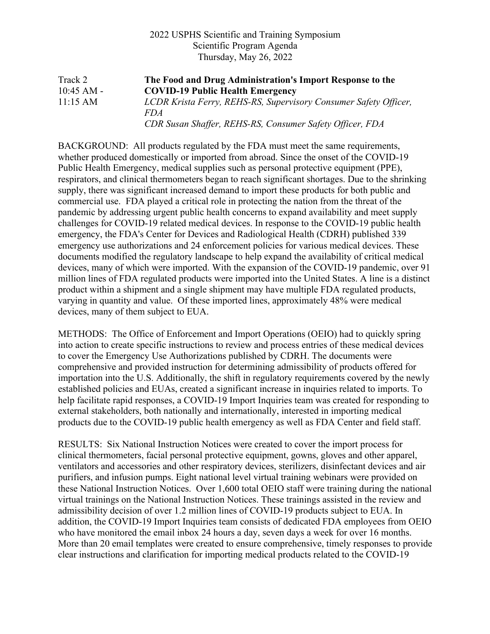| Track 2            | The Food and Drug Administration's Import Response to the        |
|--------------------|------------------------------------------------------------------|
| $10:45$ AM -       | <b>COVID-19 Public Health Emergency</b>                          |
| $11:15 \text{ AM}$ | LCDR Krista Ferry, REHS-RS, Supervisory Consumer Safety Officer, |
|                    | <i>FDA</i>                                                       |
|                    | CDR Susan Shaffer, REHS-RS, Consumer Safety Officer, FDA         |

BACKGROUND: All products regulated by the FDA must meet the same requirements, whether produced domestically or imported from abroad. Since the onset of the COVID-19 Public Health Emergency, medical supplies such as personal protective equipment (PPE), respirators, and clinical thermometers began to reach significant shortages. Due to the shrinking supply, there was significant increased demand to import these products for both public and commercial use. FDA played a critical role in protecting the nation from the threat of the pandemic by addressing urgent public health concerns to expand availability and meet supply challenges for COVID-19 related medical devices. In response to the COVID-19 public health emergency, the FDA's Center for Devices and Radiological Health (CDRH) published 339 emergency use authorizations and 24 enforcement policies for various medical devices. These documents modified the regulatory landscape to help expand the availability of critical medical devices, many of which were imported. With the expansion of the COVID-19 pandemic, over 91 million lines of FDA regulated products were imported into the United States. A line is a distinct product within a shipment and a single shipment may have multiple FDA regulated products, varying in quantity and value. Of these imported lines, approximately 48% were medical devices, many of them subject to EUA.

METHODS: The Office of Enforcement and Import Operations (OEIO) had to quickly spring into action to create specific instructions to review and process entries of these medical devices to cover the Emergency Use Authorizations published by CDRH. The documents were comprehensive and provided instruction for determining admissibility of products offered for importation into the U.S. Additionally, the shift in regulatory requirements covered by the newly established policies and EUAs, created a significant increase in inquiries related to imports. To help facilitate rapid responses, a COVID-19 Import Inquiries team was created for responding to external stakeholders, both nationally and internationally, interested in importing medical products due to the COVID-19 public health emergency as well as FDA Center and field staff.

RESULTS: Six National Instruction Notices were created to cover the import process for clinical thermometers, facial personal protective equipment, gowns, gloves and other apparel, ventilators and accessories and other respiratory devices, sterilizers, disinfectant devices and air purifiers, and infusion pumps. Eight national level virtual training webinars were provided on these National Instruction Notices. Over 1,600 total OEIO staff were training during the national virtual trainings on the National Instruction Notices. These trainings assisted in the review and admissibility decision of over 1.2 million lines of COVID-19 products subject to EUA. In addition, the COVID-19 Import Inquiries team consists of dedicated FDA employees from OEIO who have monitored the email inbox 24 hours a day, seven days a week for over 16 months. More than 20 email templates were created to ensure comprehensive, timely responses to provide clear instructions and clarification for importing medical products related to the COVID-19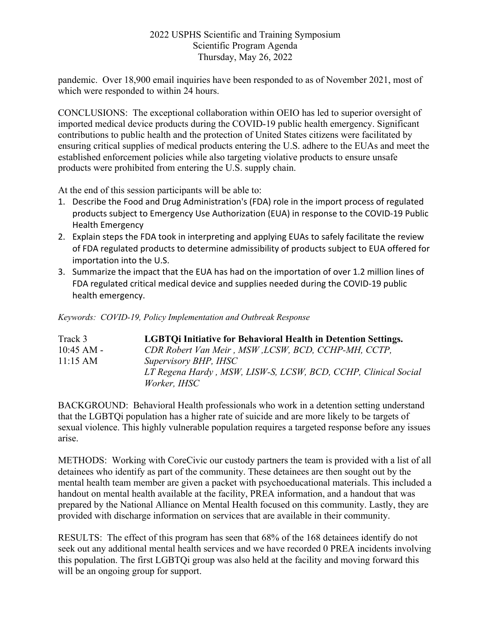pandemic. Over 18,900 email inquiries have been responded to as of November 2021, most of which were responded to within 24 hours.

CONCLUSIONS: The exceptional collaboration within OEIO has led to superior oversight of imported medical device products during the COVID-19 public health emergency. Significant contributions to public health and the protection of United States citizens were facilitated by ensuring critical supplies of medical products entering the U.S. adhere to the EUAs and meet the established enforcement policies while also targeting violative products to ensure unsafe products were prohibited from entering the U.S. supply chain.

At the end of this session participants will be able to:

- 1. Describe the Food and Drug Administration's (FDA) role in the import process of regulated products subject to Emergency Use Authorization (EUA) in response to the COVID-19 Public Health Emergency
- 2. Explain steps the FDA took in interpreting and applying EUAs to safely facilitate the review of FDA regulated products to determine admissibility of products subject to EUA offered for importation into the U.S.
- 3. Summarize the impact that the EUA has had on the importation of over 1.2 million lines of FDA regulated critical medical device and supplies needed during the COVID-19 public health emergency.

*Keywords: COVID-19, Policy Implementation and Outbreak Response*

| Track 3            | <b>LGBTOi Initiative for Behavioral Health in Detention Settings.</b> |
|--------------------|-----------------------------------------------------------------------|
| $10:45$ AM -       | CDR Robert Van Meir, MSW, LCSW, BCD, CCHP-MH, CCTP,                   |
| $11:15 \text{ AM}$ | Supervisory BHP, IHSC                                                 |
|                    | LT Regena Hardy, MSW, LISW-S, LCSW, BCD, CCHP, Clinical Social        |
|                    | Worker, IHSC                                                          |

BACKGROUND: Behavioral Health professionals who work in a detention setting understand that the LGBTQi population has a higher rate of suicide and are more likely to be targets of sexual violence. This highly vulnerable population requires a targeted response before any issues arise.

METHODS: Working with CoreCivic our custody partners the team is provided with a list of all detainees who identify as part of the community. These detainees are then sought out by the mental health team member are given a packet with psychoeducational materials. This included a handout on mental health available at the facility, PREA information, and a handout that was prepared by the National Alliance on Mental Health focused on this community. Lastly, they are provided with discharge information on services that are available in their community.

RESULTS: The effect of this program has seen that 68% of the 168 detainees identify do not seek out any additional mental health services and we have recorded 0 PREA incidents involving this population. The first LGBTQi group was also held at the facility and moving forward this will be an ongoing group for support.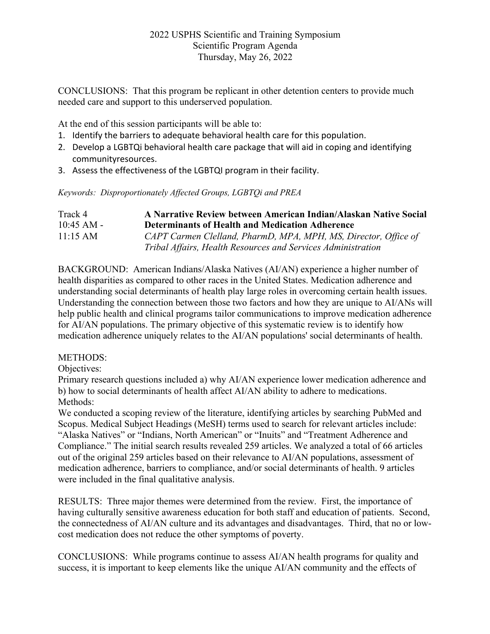CONCLUSIONS: That this program be replicant in other detention centers to provide much needed care and support to this underserved population.

At the end of this session participants will be able to:

- 1. Identify the barriers to adequate behavioral health care for this population.
- 2. Develop a LGBTQi behavioral health care package that will aid in coping and identifying communityresources.
- 3. Assess the effectiveness of the LGBTQI program in their facility.

*Keywords: Disproportionately Affected Groups, LGBTQi and PREA*

| Track 4            | A Narrative Review between American Indian/Alaskan Native Social |
|--------------------|------------------------------------------------------------------|
| $10:45$ AM -       | <b>Determinants of Health and Medication Adherence</b>           |
| $11:15 \text{ AM}$ | CAPT Carmen Clelland, PharmD, MPA, MPH, MS, Director, Office of  |
|                    | Tribal Affairs, Health Resources and Services Administration     |

BACKGROUND: American Indians/Alaska Natives (AI/AN) experience a higher number of health disparities as compared to other races in the United States. Medication adherence and understanding social determinants of health play large roles in overcoming certain health issues. Understanding the connection between those two factors and how they are unique to AI/ANs will help public health and clinical programs tailor communications to improve medication adherence for AI/AN populations. The primary objective of this systematic review is to identify how medication adherence uniquely relates to the AI/AN populations' social determinants of health.

#### METHODS:

Objectives:

Primary research questions included a) why AI/AN experience lower medication adherence and b) how to social determinants of health affect AI/AN ability to adhere to medications. Methods:

We conducted a scoping review of the literature, identifying articles by searching PubMed and Scopus. Medical Subject Headings (MeSH) terms used to search for relevant articles include: "Alaska Natives" or "Indians, North American" or "Inuits" and "Treatment Adherence and Compliance." The initial search results revealed 259 articles. We analyzed a total of 66 articles out of the original 259 articles based on their relevance to AI/AN populations, assessment of medication adherence, barriers to compliance, and/or social determinants of health. 9 articles were included in the final qualitative analysis.

RESULTS: Three major themes were determined from the review. First, the importance of having culturally sensitive awareness education for both staff and education of patients. Second, the connectedness of AI/AN culture and its advantages and disadvantages. Third, that no or lowcost medication does not reduce the other symptoms of poverty.

CONCLUSIONS: While programs continue to assess AI/AN health programs for quality and success, it is important to keep elements like the unique AI/AN community and the effects of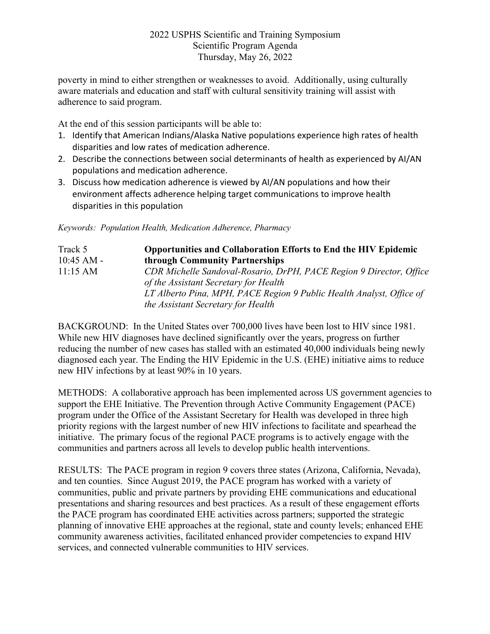poverty in mind to either strengthen or weaknesses to avoid. Additionally, using culturally aware materials and education and staff with cultural sensitivity training will assist with adherence to said program.

At the end of this session participants will be able to:

- 1. Identify that American Indians/Alaska Native populations experience high rates of health disparities and low rates of medication adherence.
- 2. Describe the connections between social determinants of health as experienced by AI/AN populations and medication adherence.
- 3. Discuss how medication adherence is viewed by AI/AN populations and how their environment affects adherence helping target communications to improve health disparities in this population

*Keywords: Population Health, Medication Adherence, Pharmacy*

| Track 5      | <b>Opportunities and Collaboration Efforts to End the HIV Epidemic</b>                                       |
|--------------|--------------------------------------------------------------------------------------------------------------|
| $10:45$ AM - | through Community Partnerships                                                                               |
| 11:15 AM     | CDR Michelle Sandoval-Rosario, DrPH, PACE Region 9 Director, Office<br>of the Assistant Secretary for Health |
|              | LT Alberto Pina, MPH, PACE Region 9 Public Health Analyst, Office of                                         |
|              | the Assistant Secretary for Health                                                                           |

BACKGROUND: In the United States over 700,000 lives have been lost to HIV since 1981. While new HIV diagnoses have declined significantly over the years, progress on further reducing the number of new cases has stalled with an estimated 40,000 individuals being newly diagnosed each year. The Ending the HIV Epidemic in the U.S. (EHE) initiative aims to reduce new HIV infections by at least 90% in 10 years.

METHODS: A collaborative approach has been implemented across US government agencies to support the EHE Initiative. The Prevention through Active Community Engagement (PACE) program under the Office of the Assistant Secretary for Health was developed in three high priority regions with the largest number of new HIV infections to facilitate and spearhead the initiative. The primary focus of the regional PACE programs is to actively engage with the communities and partners across all levels to develop public health interventions.

RESULTS: The PACE program in region 9 covers three states (Arizona, California, Nevada), and ten counties. Since August 2019, the PACE program has worked with a variety of communities, public and private partners by providing EHE communications and educational presentations and sharing resources and best practices. As a result of these engagement efforts the PACE program has coordinated EHE activities across partners; supported the strategic planning of innovative EHE approaches at the regional, state and county levels; enhanced EHE community awareness activities, facilitated enhanced provider competencies to expand HIV services, and connected vulnerable communities to HIV services.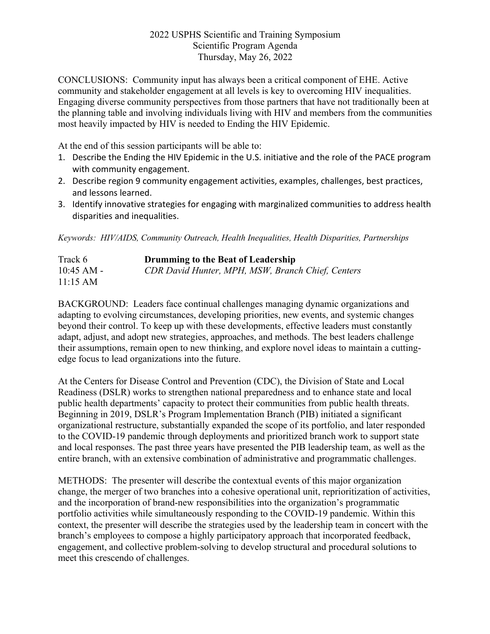CONCLUSIONS: Community input has always been a critical component of EHE. Active community and stakeholder engagement at all levels is key to overcoming HIV inequalities. Engaging diverse community perspectives from those partners that have not traditionally been at the planning table and involving individuals living with HIV and members from the communities most heavily impacted by HIV is needed to Ending the HIV Epidemic.

At the end of this session participants will be able to:

- 1. Describe the Ending the HIV Epidemic in the U.S. initiative and the role of the PACE program with community engagement.
- 2. Describe region 9 community engagement activities, examples, challenges, best practices, and lessons learned.
- 3. Identify innovative strategies for engaging with marginalized communities to address health disparities and inequalities.

*Keywords: HIV/AIDS, Community Outreach, Health Inequalities, Health Disparities, Partnerships*

| Track 6      | Drumming to the Beat of Leadership                |
|--------------|---------------------------------------------------|
| $10:45$ AM - | CDR David Hunter, MPH, MSW, Branch Chief, Centers |
| 11:15 AM     |                                                   |

BACKGROUND: Leaders face continual challenges managing dynamic organizations and adapting to evolving circumstances, developing priorities, new events, and systemic changes beyond their control. To keep up with these developments, effective leaders must constantly adapt, adjust, and adopt new strategies, approaches, and methods. The best leaders challenge their assumptions, remain open to new thinking, and explore novel ideas to maintain a cuttingedge focus to lead organizations into the future.

At the Centers for Disease Control and Prevention (CDC), the Division of State and Local Readiness (DSLR) works to strengthen national preparedness and to enhance state and local public health departments' capacity to protect their communities from public health threats. Beginning in 2019, DSLR's Program Implementation Branch (PIB) initiated a significant organizational restructure, substantially expanded the scope of its portfolio, and later responded to the COVID-19 pandemic through deployments and prioritized branch work to support state and local responses. The past three years have presented the PIB leadership team, as well as the entire branch, with an extensive combination of administrative and programmatic challenges.

METHODS: The presenter will describe the contextual events of this major organization change, the merger of two branches into a cohesive operational unit, reprioritization of activities, and the incorporation of brand-new responsibilities into the organization's programmatic portfolio activities while simultaneously responding to the COVID-19 pandemic. Within this context, the presenter will describe the strategies used by the leadership team in concert with the branch's employees to compose a highly participatory approach that incorporated feedback, engagement, and collective problem-solving to develop structural and procedural solutions to meet this crescendo of challenges.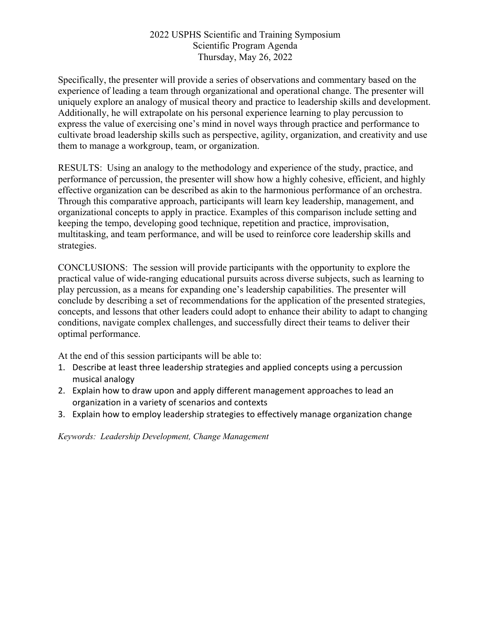Specifically, the presenter will provide a series of observations and commentary based on the experience of leading a team through organizational and operational change. The presenter will uniquely explore an analogy of musical theory and practice to leadership skills and development. Additionally, he will extrapolate on his personal experience learning to play percussion to express the value of exercising one's mind in novel ways through practice and performance to cultivate broad leadership skills such as perspective, agility, organization, and creativity and use them to manage a workgroup, team, or organization.

RESULTS: Using an analogy to the methodology and experience of the study, practice, and performance of percussion, the presenter will show how a highly cohesive, efficient, and highly effective organization can be described as akin to the harmonious performance of an orchestra. Through this comparative approach, participants will learn key leadership, management, and organizational concepts to apply in practice. Examples of this comparison include setting and keeping the tempo, developing good technique, repetition and practice, improvisation, multitasking, and team performance, and will be used to reinforce core leadership skills and strategies.

CONCLUSIONS: The session will provide participants with the opportunity to explore the practical value of wide-ranging educational pursuits across diverse subjects, such as learning to play percussion, as a means for expanding one's leadership capabilities. The presenter will conclude by describing a set of recommendations for the application of the presented strategies, concepts, and lessons that other leaders could adopt to enhance their ability to adapt to changing conditions, navigate complex challenges, and successfully direct their teams to deliver their optimal performance.

At the end of this session participants will be able to:

- 1. Describe at least three leadership strategies and applied concepts using a percussion musical analogy
- 2. Explain how to draw upon and apply different management approaches to lead an organization in a variety of scenarios and contexts
- 3. Explain how to employ leadership strategies to effectively manage organization change

*Keywords: Leadership Development, Change Management*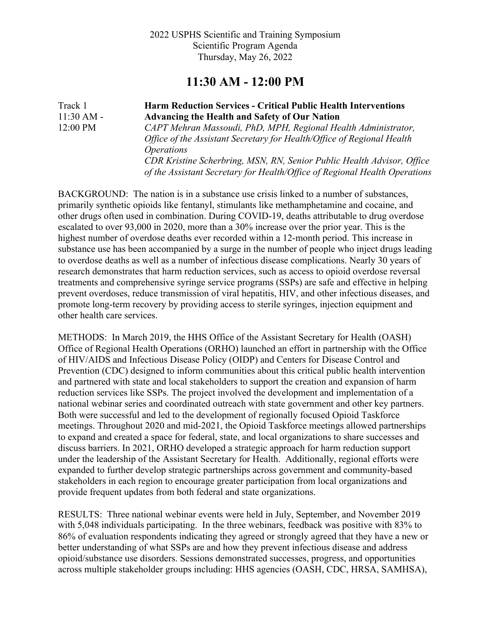## **11:30 AM - 12:00 PM**

Track 1 **Harm Reduction Services - Critical Public Health Interventions**  11:30 AM - **Advancing the Health and Safety of Our Nation** 12:00 PM *CAPT Mehran Massoudi, PhD, MPH, Regional Health Administrator, Office of the Assistant Secretary for Health/Office of Regional Health Operations CDR Kristine Scherbring, MSN, RN, Senior Public Health Advisor, Office of the Assistant Secretary for Health/Office of Regional Health Operations*

BACKGROUND: The nation is in a substance use crisis linked to a number of substances, primarily synthetic opioids like fentanyl, stimulants like methamphetamine and cocaine, and other drugs often used in combination. During COVID-19, deaths attributable to drug overdose escalated to over 93,000 in 2020, more than a 30% increase over the prior year. This is the highest number of overdose deaths ever recorded within a 12-month period. This increase in substance use has been accompanied by a surge in the number of people who inject drugs leading to overdose deaths as well as a number of infectious disease complications. Nearly 30 years of research demonstrates that harm reduction services, such as access to opioid overdose reversal treatments and comprehensive syringe service programs (SSPs) are safe and effective in helping prevent overdoses, reduce transmission of viral hepatitis, HIV, and other infectious diseases, and promote long-term recovery by providing access to sterile syringes, injection equipment and other health care services.

METHODS: In March 2019, the HHS Office of the Assistant Secretary for Health (OASH) Office of Regional Health Operations (ORHO) launched an effort in partnership with the Office of HIV/AIDS and Infectious Disease Policy (OIDP) and Centers for Disease Control and Prevention (CDC) designed to inform communities about this critical public health intervention and partnered with state and local stakeholders to support the creation and expansion of harm reduction services like SSPs. The project involved the development and implementation of a national webinar series and coordinated outreach with state government and other key partners. Both were successful and led to the development of regionally focused Opioid Taskforce meetings. Throughout 2020 and mid-2021, the Opioid Taskforce meetings allowed partnerships to expand and created a space for federal, state, and local organizations to share successes and discuss barriers. In 2021, ORHO developed a strategic approach for harm reduction support under the leadership of the Assistant Secretary for Health. Additionally, regional efforts were expanded to further develop strategic partnerships across government and community-based stakeholders in each region to encourage greater participation from local organizations and provide frequent updates from both federal and state organizations.

RESULTS: Three national webinar events were held in July, September, and November 2019 with 5,048 individuals participating. In the three webinars, feedback was positive with 83% to 86% of evaluation respondents indicating they agreed or strongly agreed that they have a new or better understanding of what SSPs are and how they prevent infectious disease and address opioid/substance use disorders. Sessions demonstrated successes, progress, and opportunities across multiple stakeholder groups including: HHS agencies (OASH, CDC, HRSA, SAMHSA),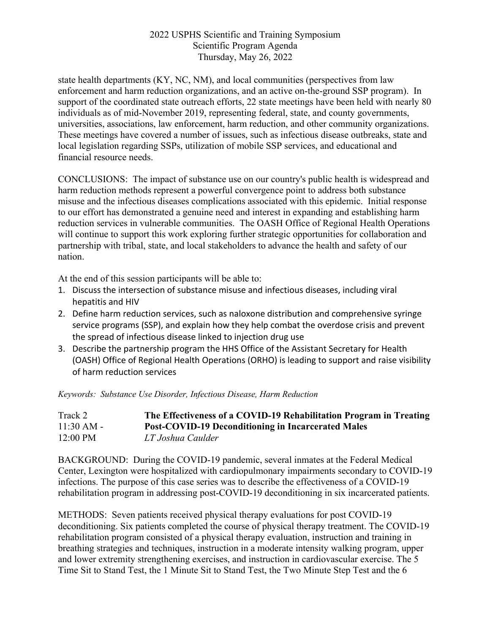state health departments (KY, NC, NM), and local communities (perspectives from law enforcement and harm reduction organizations, and an active on-the-ground SSP program). In support of the coordinated state outreach efforts, 22 state meetings have been held with nearly 80 individuals as of mid-November 2019, representing federal, state, and county governments, universities, associations, law enforcement, harm reduction, and other community organizations. These meetings have covered a number of issues, such as infectious disease outbreaks, state and local legislation regarding SSPs, utilization of mobile SSP services, and educational and financial resource needs.

CONCLUSIONS: The impact of substance use on our country's public health is widespread and harm reduction methods represent a powerful convergence point to address both substance misuse and the infectious diseases complications associated with this epidemic. Initial response to our effort has demonstrated a genuine need and interest in expanding and establishing harm reduction services in vulnerable communities. The OASH Office of Regional Health Operations will continue to support this work exploring further strategic opportunities for collaboration and partnership with tribal, state, and local stakeholders to advance the health and safety of our nation.

At the end of this session participants will be able to:

- 1. Discuss the intersection of substance misuse and infectious diseases, including viral hepatitis and HIV
- 2. Define harm reduction services, such as naloxone distribution and comprehensive syringe service programs (SSP), and explain how they help combat the overdose crisis and prevent the spread of infectious disease linked to injection drug use
- 3. Describe the partnership program the HHS Office of the Assistant Secretary for Health (OASH) Office of Regional Health Operations (ORHO) is leading to support and raise visibility of harm reduction services

*Keywords: Substance Use Disorder, Infectious Disease, Harm Reduction*

| Track 2            | The Effectiveness of a COVID-19 Rehabilitation Program in Treating |
|--------------------|--------------------------------------------------------------------|
| $11:30$ AM -       | <b>Post-COVID-19 Deconditioning in Incarcerated Males</b>          |
| $12:00 \text{ PM}$ | LT Joshua Caulder                                                  |

BACKGROUND: During the COVID-19 pandemic, several inmates at the Federal Medical Center, Lexington were hospitalized with cardiopulmonary impairments secondary to COVID-19 infections. The purpose of this case series was to describe the effectiveness of a COVID-19 rehabilitation program in addressing post-COVID-19 deconditioning in six incarcerated patients.

METHODS: Seven patients received physical therapy evaluations for post COVID-19 deconditioning. Six patients completed the course of physical therapy treatment. The COVID-19 rehabilitation program consisted of a physical therapy evaluation, instruction and training in breathing strategies and techniques, instruction in a moderate intensity walking program, upper and lower extremity strengthening exercises, and instruction in cardiovascular exercise. The 5 Time Sit to Stand Test, the 1 Minute Sit to Stand Test, the Two Minute Step Test and the 6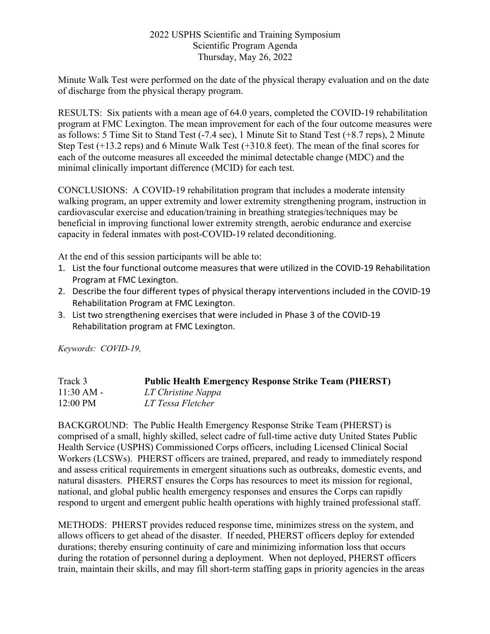Minute Walk Test were performed on the date of the physical therapy evaluation and on the date of discharge from the physical therapy program.

RESULTS: Six patients with a mean age of 64.0 years, completed the COVID-19 rehabilitation program at FMC Lexington. The mean improvement for each of the four outcome measures were as follows: 5 Time Sit to Stand Test (-7.4 sec), 1 Minute Sit to Stand Test (+8.7 reps), 2 Minute Step Test (+13.2 reps) and 6 Minute Walk Test (+310.8 feet). The mean of the final scores for each of the outcome measures all exceeded the minimal detectable change (MDC) and the minimal clinically important difference (MCID) for each test.

CONCLUSIONS: A COVID-19 rehabilitation program that includes a moderate intensity walking program, an upper extremity and lower extremity strengthening program, instruction in cardiovascular exercise and education/training in breathing strategies/techniques may be beneficial in improving functional lower extremity strength, aerobic endurance and exercise capacity in federal inmates with post-COVID-19 related deconditioning.

At the end of this session participants will be able to:

- 1. List the four functional outcome measures that were utilized in the COVID-19 Rehabilitation Program at FMC Lexington.
- 2. Describe the four different types of physical therapy interventions included in the COVID-19 Rehabilitation Program at FMC Lexington.
- 3. List two strengthening exercises that were included in Phase 3 of the COVID-19 Rehabilitation program at FMC Lexington.

*Keywords: COVID-19,* 

| Track 3            | <b>Public Health Emergency Response Strike Team (PHERST)</b> |
|--------------------|--------------------------------------------------------------|
| $11:30$ AM -       | LT Christine Nappa                                           |
| $12:00 \text{ PM}$ | LT Tessa Fletcher                                            |

BACKGROUND: The Public Health Emergency Response Strike Team (PHERST) is comprised of a small, highly skilled, select cadre of full-time active duty United States Public Health Service (USPHS) Commissioned Corps officers, including Licensed Clinical Social Workers (LCSWs). PHERST officers are trained, prepared, and ready to immediately respond and assess critical requirements in emergent situations such as outbreaks, domestic events, and natural disasters. PHERST ensures the Corps has resources to meet its mission for regional, national, and global public health emergency responses and ensures the Corps can rapidly respond to urgent and emergent public health operations with highly trained professional staff.

METHODS: PHERST provides reduced response time, minimizes stress on the system, and allows officers to get ahead of the disaster. If needed, PHERST officers deploy for extended durations; thereby ensuring continuity of care and minimizing information loss that occurs during the rotation of personnel during a deployment. When not deployed, PHERST officers train, maintain their skills, and may fill short-term staffing gaps in priority agencies in the areas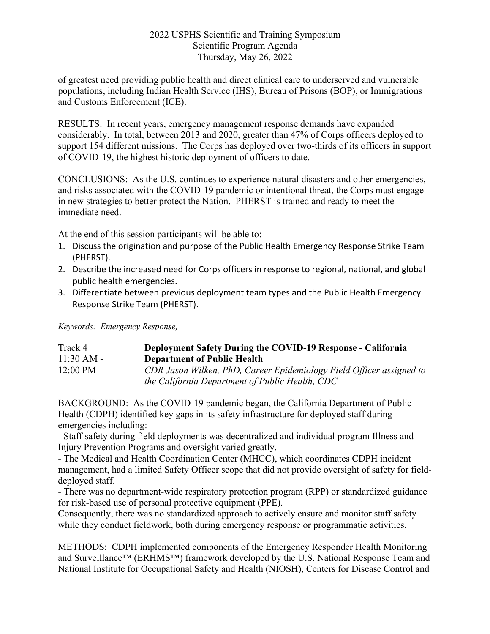of greatest need providing public health and direct clinical care to underserved and vulnerable populations, including Indian Health Service (IHS), Bureau of Prisons (BOP), or Immigrations and Customs Enforcement (ICE).

RESULTS: In recent years, emergency management response demands have expanded considerably. In total, between 2013 and 2020, greater than 47% of Corps officers deployed to support 154 different missions. The Corps has deployed over two-thirds of its officers in support of COVID-19, the highest historic deployment of officers to date.

CONCLUSIONS: As the U.S. continues to experience natural disasters and other emergencies, and risks associated with the COVID-19 pandemic or intentional threat, the Corps must engage in new strategies to better protect the Nation. PHERST is trained and ready to meet the immediate need.

At the end of this session participants will be able to:

- 1. Discuss the origination and purpose of the Public Health Emergency Response Strike Team (PHERST).
- 2. Describe the increased need for Corps officers in response to regional, national, and global public health emergencies.
- 3. Differentiate between previous deployment team types and the Public Health Emergency Response Strike Team (PHERST).

*Keywords: Emergency Response,* 

| Track 4            | Deployment Safety During the COVID-19 Response - California                                                             |
|--------------------|-------------------------------------------------------------------------------------------------------------------------|
| $11:30 AM -$       | <b>Department of Public Health</b>                                                                                      |
| $12:00 \text{ PM}$ | CDR Jason Wilken, PhD, Career Epidemiology Field Officer assigned to<br>the California Department of Public Health, CDC |

BACKGROUND: As the COVID-19 pandemic began, the California Department of Public Health (CDPH) identified key gaps in its safety infrastructure for deployed staff during emergencies including:

- Staff safety during field deployments was decentralized and individual program Illness and Injury Prevention Programs and oversight varied greatly.

- The Medical and Health Coordination Center (MHCC), which coordinates CDPH incident management, had a limited Safety Officer scope that did not provide oversight of safety for fielddeployed staff.

- There was no department-wide respiratory protection program (RPP) or standardized guidance for risk-based use of personal protective equipment (PPE).

Consequently, there was no standardized approach to actively ensure and monitor staff safety while they conduct fieldwork, both during emergency response or programmatic activities.

METHODS: CDPH implemented components of the Emergency Responder Health Monitoring and Surveillance™ (ERHMS™) framework developed by the U.S. National Response Team and National Institute for Occupational Safety and Health (NIOSH), Centers for Disease Control and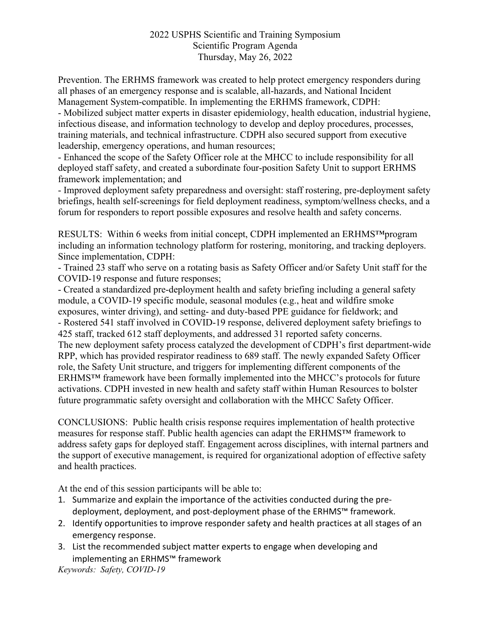Prevention. The ERHMS framework was created to help protect emergency responders during all phases of an emergency response and is scalable, all-hazards, and National Incident Management System-compatible. In implementing the ERHMS framework, CDPH:

- Mobilized subject matter experts in disaster epidemiology, health education, industrial hygiene, infectious disease, and information technology to develop and deploy procedures, processes, training materials, and technical infrastructure. CDPH also secured support from executive leadership, emergency operations, and human resources;

- Enhanced the scope of the Safety Officer role at the MHCC to include responsibility for all deployed staff safety, and created a subordinate four-position Safety Unit to support ERHMS framework implementation; and

- Improved deployment safety preparedness and oversight: staff rostering, pre-deployment safety briefings, health self-screenings for field deployment readiness, symptom/wellness checks, and a forum for responders to report possible exposures and resolve health and safety concerns.

RESULTS: Within 6 weeks from initial concept, CDPH implemented an ERHMS™program including an information technology platform for rostering, monitoring, and tracking deployers. Since implementation, CDPH:

- Trained 23 staff who serve on a rotating basis as Safety Officer and/or Safety Unit staff for the COVID-19 response and future responses;

- Created a standardized pre-deployment health and safety briefing including a general safety module, a COVID-19 specific module, seasonal modules (e.g., heat and wildfire smoke exposures, winter driving), and setting- and duty-based PPE guidance for fieldwork; and - Rostered 541 staff involved in COVID-19 response, delivered deployment safety briefings to 425 staff, tracked 612 staff deployments, and addressed 31 reported safety concerns. The new deployment safety process catalyzed the development of CDPH's first department-wide RPP, which has provided respirator readiness to 689 staff. The newly expanded Safety Officer role, the Safety Unit structure, and triggers for implementing different components of the ERHMS™ framework have been formally implemented into the MHCC's protocols for future activations. CDPH invested in new health and safety staff within Human Resources to bolster future programmatic safety oversight and collaboration with the MHCC Safety Officer.

CONCLUSIONS: Public health crisis response requires implementation of health protective measures for response staff. Public health agencies can adapt the ERHMS™ framework to address safety gaps for deployed staff. Engagement across disciplines, with internal partners and the support of executive management, is required for organizational adoption of effective safety and health practices.

At the end of this session participants will be able to:

- 1. Summarize and explain the importance of the activities conducted during the predeployment, deployment, and post-deployment phase of the ERHMS™ framework.
- 2. Identify opportunities to improve responder safety and health practices at all stages of an emergency response.
- 3. List the recommended subject matter experts to engage when developing and implementing an ERHMS™ framework

*Keywords: Safety, COVID-19*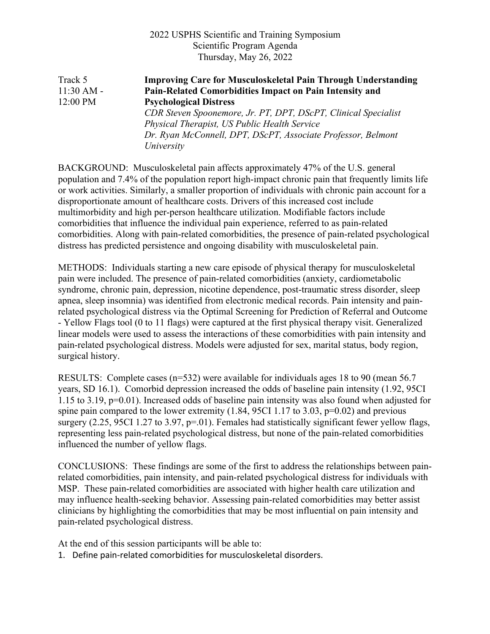Track 5 **Improving Care for Musculoskeletal Pain Through Understanding**  11:30 AM - **Pain-Related Comorbidities Impact on Pain Intensity and**  12:00 PM **Psychological Distress** *CDR Steven Spoonemore, Jr. PT, DPT, DScPT, Clinical Specialist Physical Therapist, US Public Health Service Dr. Ryan McConnell, DPT, DScPT, Associate Professor, Belmont University*

BACKGROUND: Musculoskeletal pain affects approximately 47% of the U.S. general population and 7.4% of the population report high-impact chronic pain that frequently limits life or work activities. Similarly, a smaller proportion of individuals with chronic pain account for a disproportionate amount of healthcare costs. Drivers of this increased cost include multimorbidity and high per-person healthcare utilization. Modifiable factors include comorbidities that influence the individual pain experience, referred to as pain-related comorbidities. Along with pain-related comorbidities, the presence of pain-related psychological distress has predicted persistence and ongoing disability with musculoskeletal pain.

METHODS: Individuals starting a new care episode of physical therapy for musculoskeletal pain were included. The presence of pain-related comorbidities (anxiety, cardiometabolic syndrome, chronic pain, depression, nicotine dependence, post-traumatic stress disorder, sleep apnea, sleep insomnia) was identified from electronic medical records. Pain intensity and painrelated psychological distress via the Optimal Screening for Prediction of Referral and Outcome - Yellow Flags tool (0 to 11 flags) were captured at the first physical therapy visit. Generalized linear models were used to assess the interactions of these comorbidities with pain intensity and pain-related psychological distress. Models were adjusted for sex, marital status, body region, surgical history.

RESULTS: Complete cases (n=532) were available for individuals ages 18 to 90 (mean 56.7 years, SD 16.1). Comorbid depression increased the odds of baseline pain intensity (1.92, 95CI 1.15 to 3.19, p=0.01). Increased odds of baseline pain intensity was also found when adjusted for spine pain compared to the lower extremity  $(1.84, 95C11.17)$  to 3.03, p=0.02) and previous surgery (2.25, 95CI 1.27 to 3.97, p=.01). Females had statistically significant fewer yellow flags, representing less pain-related psychological distress, but none of the pain-related comorbidities influenced the number of yellow flags.

CONCLUSIONS: These findings are some of the first to address the relationships between painrelated comorbidities, pain intensity, and pain-related psychological distress for individuals with MSP. These pain-related comorbidities are associated with higher health care utilization and may influence health-seeking behavior. Assessing pain-related comorbidities may better assist clinicians by highlighting the comorbidities that may be most influential on pain intensity and pain-related psychological distress.

At the end of this session participants will be able to:

1. Define pain-related comorbidities for musculoskeletal disorders.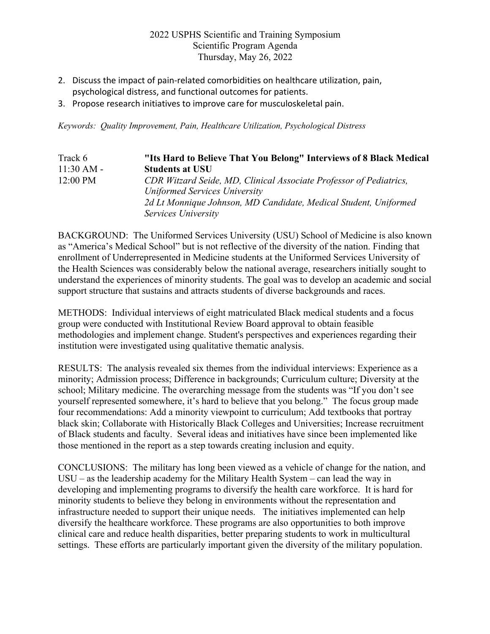- 2. Discuss the impact of pain-related comorbidities on healthcare utilization, pain, psychological distress, and functional outcomes for patients.
- 3. Propose research initiatives to improve care for musculoskeletal pain.

*Keywords: Quality Improvement, Pain, Healthcare Utilization, Psychological Distress*

| Track 6            | "Its Hard to Believe That You Belong" Interviews of 8 Black Medical |
|--------------------|---------------------------------------------------------------------|
| $11:30 AM -$       | <b>Students at USU</b>                                              |
| $12:00 \text{ PM}$ | CDR Witzard Seide, MD, Clinical Associate Professor of Pediatrics,  |
|                    | Uniformed Services University                                       |
|                    | 2d Lt Monnique Johnson, MD Candidate, Medical Student, Uniformed    |
|                    | Services University                                                 |

BACKGROUND: The Uniformed Services University (USU) School of Medicine is also known as "America's Medical School" but is not reflective of the diversity of the nation. Finding that enrollment of Underrepresented in Medicine students at the Uniformed Services University of the Health Sciences was considerably below the national average, researchers initially sought to understand the experiences of minority students. The goal was to develop an academic and social support structure that sustains and attracts students of diverse backgrounds and races.

METHODS: Individual interviews of eight matriculated Black medical students and a focus group were conducted with Institutional Review Board approval to obtain feasible methodologies and implement change. Student's perspectives and experiences regarding their institution were investigated using qualitative thematic analysis.

RESULTS: The analysis revealed six themes from the individual interviews: Experience as a minority; Admission process; Difference in backgrounds; Curriculum culture; Diversity at the school; Military medicine. The overarching message from the students was "If you don't see yourself represented somewhere, it's hard to believe that you belong." The focus group made four recommendations: Add a minority viewpoint to curriculum; Add textbooks that portray black skin; Collaborate with Historically Black Colleges and Universities; Increase recruitment of Black students and faculty. Several ideas and initiatives have since been implemented like those mentioned in the report as a step towards creating inclusion and equity.

CONCLUSIONS: The military has long been viewed as a vehicle of change for the nation, and USU – as the leadership academy for the Military Health System – can lead the way in developing and implementing programs to diversify the health care workforce. It is hard for minority students to believe they belong in environments without the representation and infrastructure needed to support their unique needs. The initiatives implemented can help diversify the healthcare workforce. These programs are also opportunities to both improve clinical care and reduce health disparities, better preparing students to work in multicultural settings. These efforts are particularly important given the diversity of the military population.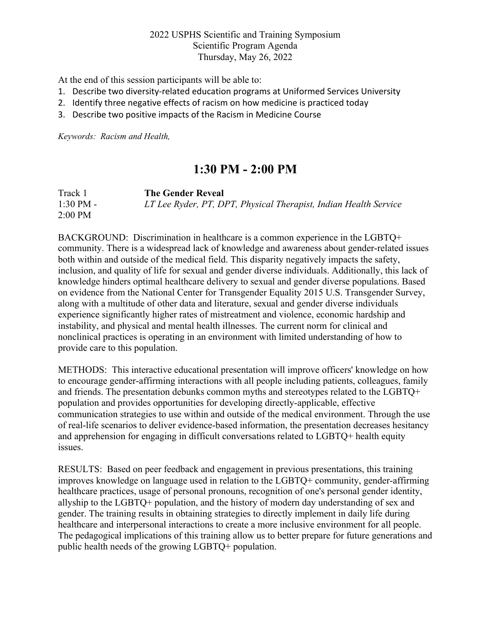At the end of this session participants will be able to:

- 1. Describe two diversity-related education programs at Uniformed Services University
- 2. Identify three negative effects of racism on how medicine is practiced today
- 3. Describe two positive impacts of the Racism in Medicine Course

*Keywords: Racism and Health,* 

# **1:30 PM - 2:00 PM**

| Track 1             | <b>The Gender Reveal</b>                                         |
|---------------------|------------------------------------------------------------------|
| $1:30 \text{ PM} -$ | LT Lee Ryder, PT, DPT, Physical Therapist, Indian Health Service |
| $2:00$ PM           |                                                                  |

BACKGROUND: Discrimination in healthcare is a common experience in the LGBTQ+ community. There is a widespread lack of knowledge and awareness about gender-related issues both within and outside of the medical field. This disparity negatively impacts the safety, inclusion, and quality of life for sexual and gender diverse individuals. Additionally, this lack of knowledge hinders optimal healthcare delivery to sexual and gender diverse populations. Based on evidence from the National Center for Transgender Equality 2015 U.S. Transgender Survey, along with a multitude of other data and literature, sexual and gender diverse individuals experience significantly higher rates of mistreatment and violence, economic hardship and instability, and physical and mental health illnesses. The current norm for clinical and nonclinical practices is operating in an environment with limited understanding of how to provide care to this population.

METHODS: This interactive educational presentation will improve officers' knowledge on how to encourage gender-affirming interactions with all people including patients, colleagues, family and friends. The presentation debunks common myths and stereotypes related to the LGBTQ+ population and provides opportunities for developing directly-applicable, effective communication strategies to use within and outside of the medical environment. Through the use of real-life scenarios to deliver evidence-based information, the presentation decreases hesitancy and apprehension for engaging in difficult conversations related to LGBTQ+ health equity issues.

RESULTS: Based on peer feedback and engagement in previous presentations, this training improves knowledge on language used in relation to the LGBTQ+ community, gender-affirming healthcare practices, usage of personal pronouns, recognition of one's personal gender identity, allyship to the LGBTQ+ population, and the history of modern day understanding of sex and gender. The training results in obtaining strategies to directly implement in daily life during healthcare and interpersonal interactions to create a more inclusive environment for all people. The pedagogical implications of this training allow us to better prepare for future generations and public health needs of the growing LGBTQ+ population.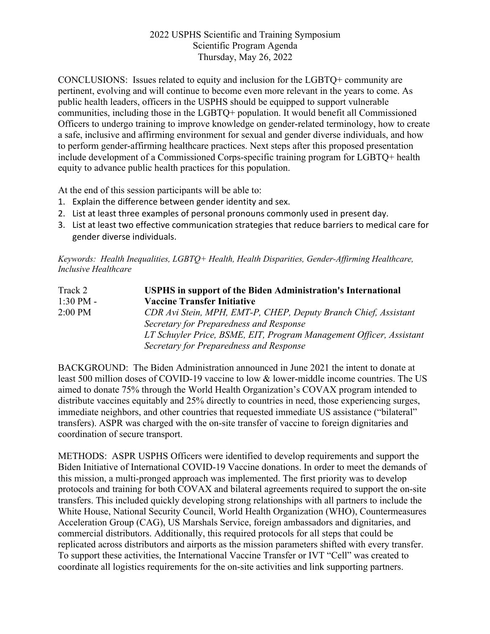CONCLUSIONS: Issues related to equity and inclusion for the LGBTQ+ community are pertinent, evolving and will continue to become even more relevant in the years to come. As public health leaders, officers in the USPHS should be equipped to support vulnerable communities, including those in the LGBTQ+ population. It would benefit all Commissioned Officers to undergo training to improve knowledge on gender-related terminology, how to create a safe, inclusive and affirming environment for sexual and gender diverse individuals, and how to perform gender-affirming healthcare practices. Next steps after this proposed presentation include development of a Commissioned Corps-specific training program for LGBTQ+ health equity to advance public health practices for this population.

At the end of this session participants will be able to:

- 1. Explain the difference between gender identity and sex.
- 2. List at least three examples of personal pronouns commonly used in present day.
- 3. List at least two effective communication strategies that reduce barriers to medical care for gender diverse individuals.

*Keywords: Health Inequalities, LGBTQ+ Health, Health Disparities, Gender-Affirming Healthcare, Inclusive Healthcare*

| Track 2       | <b>USPHS</b> in support of the Biden Administration's International |
|---------------|---------------------------------------------------------------------|
| $1:30$ PM $-$ | <b>Vaccine Transfer Initiative</b>                                  |
| $2:00$ PM     | CDR Avi Stein, MPH, EMT-P, CHEP, Deputy Branch Chief, Assistant     |
|               | Secretary for Preparedness and Response                             |
|               | LT Schuyler Price, BSME, EIT, Program Management Officer, Assistant |
|               | Secretary for Preparedness and Response                             |

BACKGROUND: The Biden Administration announced in June 2021 the intent to donate at least 500 million doses of COVID-19 vaccine to low & lower-middle income countries. The US aimed to donate 75% through the World Health Organization's COVAX program intended to distribute vaccines equitably and 25% directly to countries in need, those experiencing surges, immediate neighbors, and other countries that requested immediate US assistance ("bilateral" transfers). ASPR was charged with the on-site transfer of vaccine to foreign dignitaries and coordination of secure transport.

METHODS: ASPR USPHS Officers were identified to develop requirements and support the Biden Initiative of International COVID-19 Vaccine donations. In order to meet the demands of this mission, a multi-pronged approach was implemented. The first priority was to develop protocols and training for both COVAX and bilateral agreements required to support the on-site transfers. This included quickly developing strong relationships with all partners to include the White House, National Security Council, World Health Organization (WHO), Countermeasures Acceleration Group (CAG), US Marshals Service, foreign ambassadors and dignitaries, and commercial distributors. Additionally, this required protocols for all steps that could be replicated across distributors and airports as the mission parameters shifted with every transfer. To support these activities, the International Vaccine Transfer or IVT "Cell" was created to coordinate all logistics requirements for the on-site activities and link supporting partners.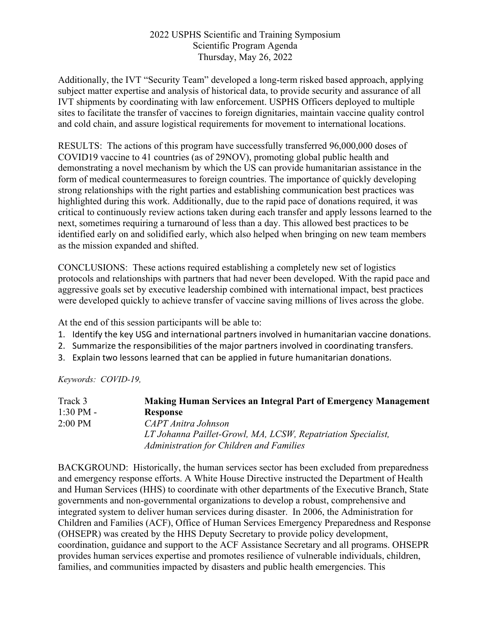Additionally, the IVT "Security Team" developed a long-term risked based approach, applying subject matter expertise and analysis of historical data, to provide security and assurance of all IVT shipments by coordinating with law enforcement. USPHS Officers deployed to multiple sites to facilitate the transfer of vaccines to foreign dignitaries, maintain vaccine quality control and cold chain, and assure logistical requirements for movement to international locations.

RESULTS: The actions of this program have successfully transferred 96,000,000 doses of COVID19 vaccine to 41 countries (as of 29NOV), promoting global public health and demonstrating a novel mechanism by which the US can provide humanitarian assistance in the form of medical countermeasures to foreign countries. The importance of quickly developing strong relationships with the right parties and establishing communication best practices was highlighted during this work. Additionally, due to the rapid pace of donations required, it was critical to continuously review actions taken during each transfer and apply lessons learned to the next, sometimes requiring a turnaround of less than a day. This allowed best practices to be identified early on and solidified early, which also helped when bringing on new team members as the mission expanded and shifted.

CONCLUSIONS: These actions required establishing a completely new set of logistics protocols and relationships with partners that had never been developed. With the rapid pace and aggressive goals set by executive leadership combined with international impact, best practices were developed quickly to achieve transfer of vaccine saving millions of lives across the globe.

At the end of this session participants will be able to:

- 1. Identify the key USG and international partners involved in humanitarian vaccine donations.
- 2. Summarize the responsibilities of the major partners involved in coordinating transfers.
- 3. Explain two lessons learned that can be applied in future humanitarian donations.

*Keywords: COVID-19,* 

| Track 3             | <b>Making Human Services an Integral Part of Emergency Management</b> |
|---------------------|-----------------------------------------------------------------------|
| $1:30 \text{ PM} -$ | <b>Response</b>                                                       |
| $2:00$ PM           | CAPT Anitra Johnson                                                   |
|                     | LT Johanna Paillet-Growl, MA, LCSW, Repatriation Specialist,          |
|                     | Administration for Children and Families                              |

BACKGROUND: Historically, the human services sector has been excluded from preparedness and emergency response efforts. A White House Directive instructed the Department of Health and Human Services (HHS) to coordinate with other departments of the Executive Branch, State governments and non-governmental organizations to develop a robust, comprehensive and integrated system to deliver human services during disaster. In 2006, the Administration for Children and Families (ACF), Office of Human Services Emergency Preparedness and Response (OHSEPR) was created by the HHS Deputy Secretary to provide policy development, coordination, guidance and support to the ACF Assistance Secretary and all programs. OHSEPR provides human services expertise and promotes resilience of vulnerable individuals, children, families, and communities impacted by disasters and public health emergencies. This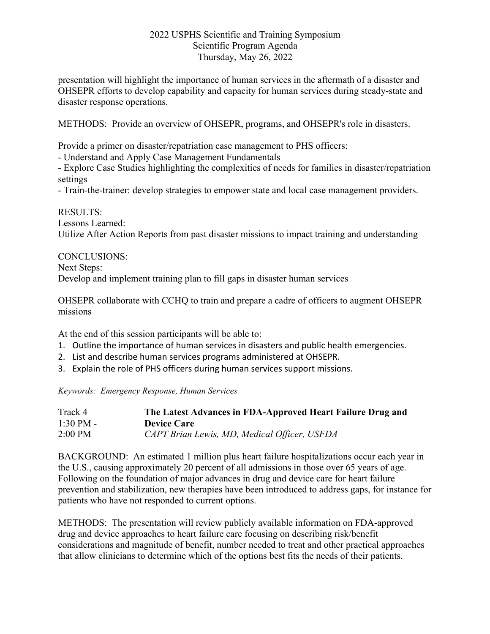presentation will highlight the importance of human services in the aftermath of a disaster and OHSEPR efforts to develop capability and capacity for human services during steady-state and disaster response operations.

METHODS: Provide an overview of OHSEPR, programs, and OHSEPR's role in disasters.

Provide a primer on disaster/repatriation case management to PHS officers:

- Understand and Apply Case Management Fundamentals

- Explore Case Studies highlighting the complexities of needs for families in disaster/repatriation settings

- Train-the-trainer: develop strategies to empower state and local case management providers.

RESULTS: Lessons Learned: Utilize After Action Reports from past disaster missions to impact training and understanding

#### CONCLUSIONS:

Next Steps:

Develop and implement training plan to fill gaps in disaster human services

OHSEPR collaborate with CCHQ to train and prepare a cadre of officers to augment OHSEPR missions

At the end of this session participants will be able to:

- 1. Outline the importance of human services in disasters and public health emergencies.
- 2. List and describe human services programs administered at OHSEPR.
- 3. Explain the role of PHS officers during human services support missions.

*Keywords: Emergency Response, Human Services*

| Track 4             | The Latest Advances in FDA-Approved Heart Failure Drug and |
|---------------------|------------------------------------------------------------|
| $1:30 \text{ PM} -$ | <b>Device Care</b>                                         |
| $2:00$ PM           | CAPT Brian Lewis, MD, Medical Officer, USFDA               |

BACKGROUND: An estimated 1 million plus heart failure hospitalizations occur each year in the U.S., causing approximately 20 percent of all admissions in those over 65 years of age. Following on the foundation of major advances in drug and device care for heart failure prevention and stabilization, new therapies have been introduced to address gaps, for instance for patients who have not responded to current options.

METHODS: The presentation will review publicly available information on FDA-approved drug and device approaches to heart failure care focusing on describing risk/benefit considerations and magnitude of benefit, number needed to treat and other practical approaches that allow clinicians to determine which of the options best fits the needs of their patients.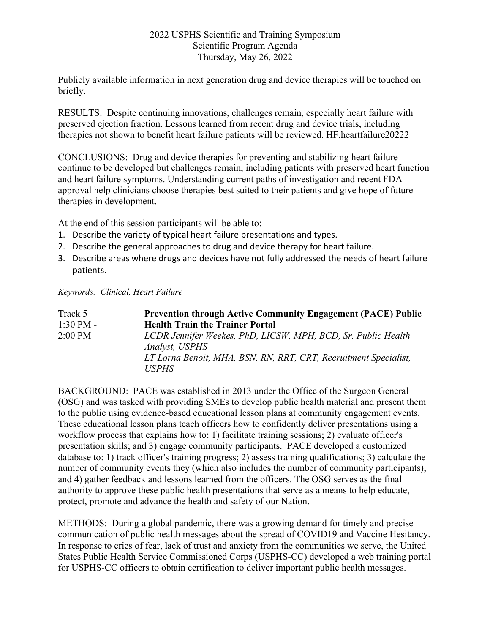Publicly available information in next generation drug and device therapies will be touched on briefly.

RESULTS: Despite continuing innovations, challenges remain, especially heart failure with preserved ejection fraction. Lessons learned from recent drug and device trials, including therapies not shown to benefit heart failure patients will be reviewed. HF.heartfailure20222

CONCLUSIONS: Drug and device therapies for preventing and stabilizing heart failure continue to be developed but challenges remain, including patients with preserved heart function and heart failure symptoms. Understanding current paths of investigation and recent FDA approval help clinicians choose therapies best suited to their patients and give hope of future therapies in development.

At the end of this session participants will be able to:

- 1. Describe the variety of typical heart failure presentations and types.
- 2. Describe the general approaches to drug and device therapy for heart failure.
- 3. Describe areas where drugs and devices have not fully addressed the needs of heart failure patients.

#### *Keywords: Clinical, Heart Failure*

| Track 5             | <b>Prevention through Active Community Engagement (PACE) Public</b>              |
|---------------------|----------------------------------------------------------------------------------|
| $1:30 \text{ PM} -$ | <b>Health Train the Trainer Portal</b>                                           |
| $2:00$ PM           | LCDR Jennifer Weekes, PhD, LICSW, MPH, BCD, Sr. Public Health<br>Analyst, USPHS  |
|                     | LT Lorna Benoit, MHA, BSN, RN, RRT, CRT, Recruitment Specialist,<br><i>USPHS</i> |

BACKGROUND: PACE was established in 2013 under the Office of the Surgeon General (OSG) and was tasked with providing SMEs to develop public health material and present them to the public using evidence-based educational lesson plans at community engagement events. These educational lesson plans teach officers how to confidently deliver presentations using a workflow process that explains how to: 1) facilitate training sessions; 2) evaluate officer's presentation skills; and 3) engage community participants. PACE developed a customized database to: 1) track officer's training progress; 2) assess training qualifications; 3) calculate the number of community events they (which also includes the number of community participants); and 4) gather feedback and lessons learned from the officers. The OSG serves as the final authority to approve these public health presentations that serve as a means to help educate, protect, promote and advance the health and safety of our Nation.

METHODS: During a global pandemic, there was a growing demand for timely and precise communication of public health messages about the spread of COVID19 and Vaccine Hesitancy. In response to cries of fear, lack of trust and anxiety from the communities we serve, the United States Public Health Service Commissioned Corps (USPHS-CC) developed a web training portal for USPHS-CC officers to obtain certification to deliver important public health messages.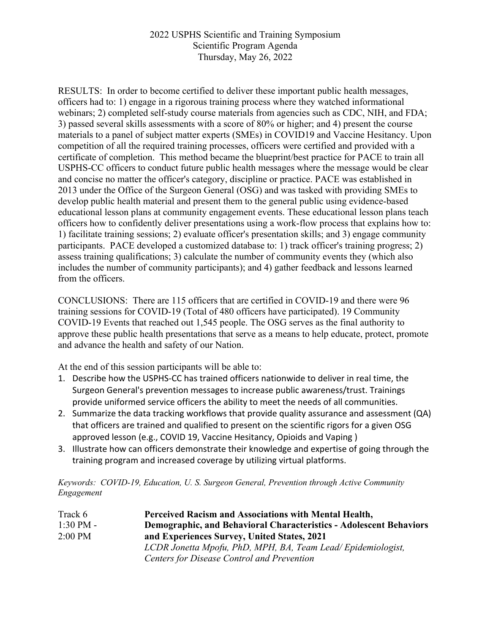RESULTS: In order to become certified to deliver these important public health messages, officers had to: 1) engage in a rigorous training process where they watched informational webinars; 2) completed self-study course materials from agencies such as CDC, NIH, and FDA; 3) passed several skills assessments with a score of 80% or higher; and 4) present the course materials to a panel of subject matter experts (SMEs) in COVID19 and Vaccine Hesitancy. Upon competition of all the required training processes, officers were certified and provided with a certificate of completion. This method became the blueprint/best practice for PACE to train all USPHS-CC officers to conduct future public health messages where the message would be clear and concise no matter the officer's category, discipline or practice. PACE was established in 2013 under the Office of the Surgeon General (OSG) and was tasked with providing SMEs to develop public health material and present them to the general public using evidence-based educational lesson plans at community engagement events. These educational lesson plans teach officers how to confidently deliver presentations using a work-flow process that explains how to: 1) facilitate training sessions; 2) evaluate officer's presentation skills; and 3) engage community participants. PACE developed a customized database to: 1) track officer's training progress; 2) assess training qualifications; 3) calculate the number of community events they (which also includes the number of community participants); and 4) gather feedback and lessons learned from the officers.

CONCLUSIONS: There are 115 officers that are certified in COVID-19 and there were 96 training sessions for COVID-19 (Total of 480 officers have participated). 19 Community COVID-19 Events that reached out 1,545 people. The OSG serves as the final authority to approve these public health presentations that serve as a means to help educate, protect, promote and advance the health and safety of our Nation.

At the end of this session participants will be able to:

- 1. Describe how the USPHS-CC has trained officers nationwide to deliver in real time, the Surgeon General's prevention messages to increase public awareness/trust. Trainings provide uniformed service officers the ability to meet the needs of all communities.
- 2. Summarize the data tracking workflows that provide quality assurance and assessment (QA) that officers are trained and qualified to present on the scientific rigors for a given OSG approved lesson (e.g., COVID 19, Vaccine Hesitancy, Opioids and Vaping )
- 3. Illustrate how can officers demonstrate their knowledge and expertise of going through the training program and increased coverage by utilizing virtual platforms.

*Keywords: COVID-19, Education, U. S. Surgeon General, Prevention through Active Community Engagement*

| Track 6             | <b>Perceived Racism and Associations with Mental Health,</b>       |
|---------------------|--------------------------------------------------------------------|
| $1:30 \text{ PM} -$ | Demographic, and Behavioral Characteristics - Adolescent Behaviors |
| $2:00$ PM           | and Experiences Survey, United States, 2021                        |
|                     | LCDR Jonetta Mpofu, PhD, MPH, BA, Team Lead/Epidemiologist,        |
|                     | Centers for Disease Control and Prevention                         |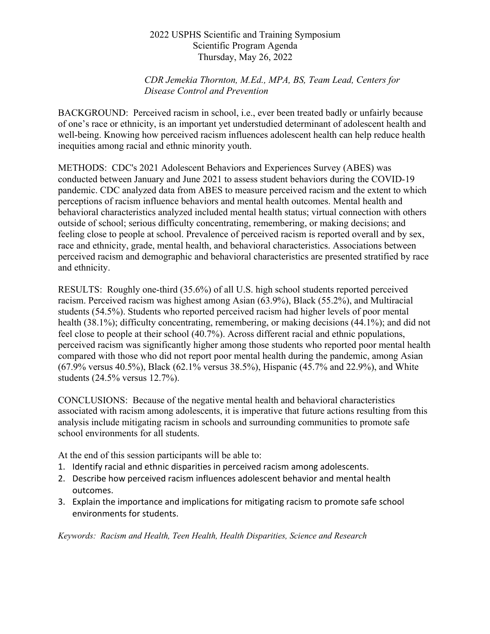### *CDR Jemekia Thornton, M.Ed., MPA, BS, Team Lead, Centers for Disease Control and Prevention*

BACKGROUND: Perceived racism in school, i.e., ever been treated badly or unfairly because of one's race or ethnicity, is an important yet understudied determinant of adolescent health and well-being. Knowing how perceived racism influences adolescent health can help reduce health inequities among racial and ethnic minority youth.

METHODS: CDC's 2021 Adolescent Behaviors and Experiences Survey (ABES) was conducted between January and June 2021 to assess student behaviors during the COVID-19 pandemic. CDC analyzed data from ABES to measure perceived racism and the extent to which perceptions of racism influence behaviors and mental health outcomes. Mental health and behavioral characteristics analyzed included mental health status; virtual connection with others outside of school; serious difficulty concentrating, remembering, or making decisions; and feeling close to people at school. Prevalence of perceived racism is reported overall and by sex, race and ethnicity, grade, mental health, and behavioral characteristics. Associations between perceived racism and demographic and behavioral characteristics are presented stratified by race and ethnicity.

RESULTS: Roughly one-third (35.6%) of all U.S. high school students reported perceived racism. Perceived racism was highest among Asian (63.9%), Black (55.2%), and Multiracial students (54.5%). Students who reported perceived racism had higher levels of poor mental health (38.1%); difficulty concentrating, remembering, or making decisions (44.1%); and did not feel close to people at their school (40.7%). Across different racial and ethnic populations, perceived racism was significantly higher among those students who reported poor mental health compared with those who did not report poor mental health during the pandemic, among Asian (67.9% versus 40.5%), Black (62.1% versus 38.5%), Hispanic (45.7% and 22.9%), and White students (24.5% versus 12.7%).

CONCLUSIONS: Because of the negative mental health and behavioral characteristics associated with racism among adolescents, it is imperative that future actions resulting from this analysis include mitigating racism in schools and surrounding communities to promote safe school environments for all students.

At the end of this session participants will be able to:

- 1. Identify racial and ethnic disparities in perceived racism among adolescents.
- 2. Describe how perceived racism influences adolescent behavior and mental health outcomes.
- 3. Explain the importance and implications for mitigating racism to promote safe school environments for students.

*Keywords: Racism and Health, Teen Health, Health Disparities, Science and Research*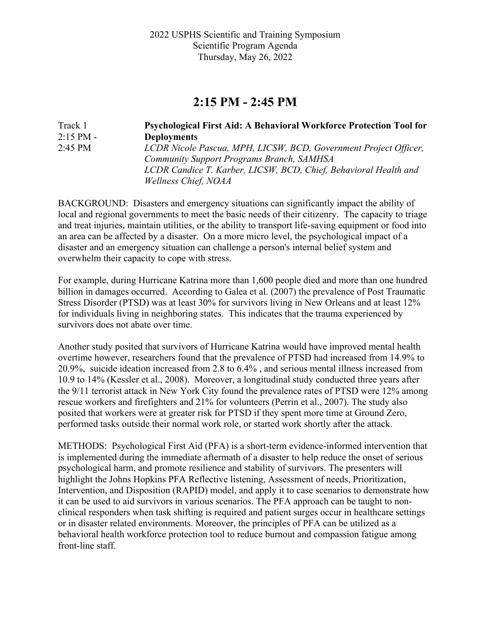## **2:15 PM - 2:45 PM**

| Track 1     | <b>Psychological First Aid: A Behavioral Workforce Protection Tool for</b> |
|-------------|----------------------------------------------------------------------------|
| $2:15$ PM - | <b>Deployments</b>                                                         |
| $2:45$ PM   | LCDR Nicole Pascua, MPH, LICSW, BCD, Government Project Officer,           |
|             | <b>Community Support Programs Branch, SAMHSA</b>                           |
|             | LCDR Candice T. Karber, LICSW, BCD, Chief, Behavioral Health and           |
|             | Wellness Chief, NOAA                                                       |

BACKGROUND: Disasters and emergency situations can significantly impact the ability of local and regional governments to meet the basic needs of their citizenry. The capacity to triage and treat injuries, maintain utilities, or the ability to transport life-saving equipment or food into an area can be affected by a disaster. On a more micro level, the psychological impact of a disaster and an emergency situation can challenge a person's internal belief system and overwhelm their capacity to cope with stress.

For example, during Hurricane Katrina more than 1,600 people died and more than one hundred billion in damages occurred. According to Galea et al. (2007) the prevalence of Post Traumatic Stress Disorder (PTSD) was at least 30% for survivors living in New Orleans and at least 12% for individuals living in neighboring states. This indicates that the trauma experienced by survivors does not abate over time.

Another study posited that survivors of Hurricane Katrina would have improved mental health overtime however, researchers found that the prevalence of PTSD had increased from 14.9% to 20.9%, suicide ideation increased from 2.8 to 6.4% , and serious mental illness increased from 10.9 to 14% (Kessler et al., 2008). Moreover, a longitudinal study conducted three years after the 9/11 terrorist attack in New York City found the prevalence rates of PTSD were 12% among rescue workers and firefighters and 21% for volunteers (Perrin et al., 2007). The study also posited that workers were at greater risk for PTSD if they spent more time at Ground Zero, performed tasks outside their normal work role, or started work shortly after the attack.

METHODS: Psychological First Aid (PFA) is a short-term evidence-informed intervention that is implemented during the immediate aftermath of a disaster to help reduce the onset of serious psychological harm, and promote resilience and stability of survivors. The presenters will highlight the Johns Hopkins PFA Reflective listening, Assessment of needs, Prioritization, Intervention, and Disposition (RAPID) model, and apply it to case scenarios to demonstrate how it can be used to aid survivors in various scenarios. The PFA approach can be taught to nonclinical responders when task shifting is required and patient surges occur in healthcare settings or in disaster related environments. Moreover, the principles of PFA can be utilized as a behavioral health workforce protection tool to reduce burnout and compassion fatigue among front-line staff.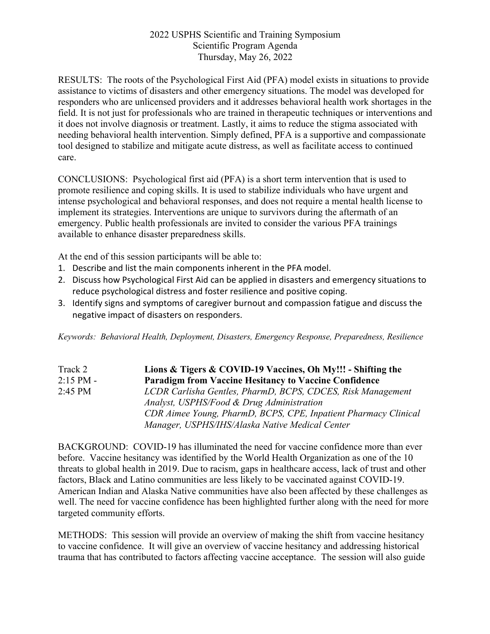RESULTS: The roots of the Psychological First Aid (PFA) model exists in situations to provide assistance to victims of disasters and other emergency situations. The model was developed for responders who are unlicensed providers and it addresses behavioral health work shortages in the field. It is not just for professionals who are trained in therapeutic techniques or interventions and it does not involve diagnosis or treatment. Lastly, it aims to reduce the stigma associated with needing behavioral health intervention. Simply defined, PFA is a supportive and compassionate tool designed to stabilize and mitigate acute distress, as well as facilitate access to continued care.

CONCLUSIONS: Psychological first aid (PFA) is a short term intervention that is used to promote resilience and coping skills. It is used to stabilize individuals who have urgent and intense psychological and behavioral responses, and does not require a mental health license to implement its strategies. Interventions are unique to survivors during the aftermath of an emergency. Public health professionals are invited to consider the various PFA trainings available to enhance disaster preparedness skills.

At the end of this session participants will be able to:

- 1. Describe and list the main components inherent in the PFA model.
- 2. Discuss how Psychological First Aid can be applied in disasters and emergency situations to reduce psychological distress and foster resilience and positive coping.
- 3. Identify signs and symptoms of caregiver burnout and compassion fatigue and discuss the negative impact of disasters on responders.

*Keywords: Behavioral Health, Deployment, Disasters, Emergency Response, Preparedness, Resilience*

| Track 2     | Lions & Tigers & COVID-19 Vaccines, Oh My!!! - Shifting the     |
|-------------|-----------------------------------------------------------------|
| $2:15$ PM - | <b>Paradigm from Vaccine Hesitancy to Vaccine Confidence</b>    |
| $2:45$ PM   | LCDR Carlisha Gentles, PharmD, BCPS, CDCES, Risk Management     |
|             | Analyst, USPHS/Food & Drug Administration                       |
|             | CDR Aimee Young, PharmD, BCPS, CPE, Inpatient Pharmacy Clinical |
|             | Manager, USPHS/IHS/Alaska Native Medical Center                 |

BACKGROUND: COVID-19 has illuminated the need for vaccine confidence more than ever before. Vaccine hesitancy was identified by the World Health Organization as one of the 10 threats to global health in 2019. Due to racism, gaps in healthcare access, lack of trust and other factors, Black and Latino communities are less likely to be vaccinated against COVID-19. American Indian and Alaska Native communities have also been affected by these challenges as well. The need for vaccine confidence has been highlighted further along with the need for more targeted community efforts.

METHODS: This session will provide an overview of making the shift from vaccine hesitancy to vaccine confidence. It will give an overview of vaccine hesitancy and addressing historical trauma that has contributed to factors affecting vaccine acceptance. The session will also guide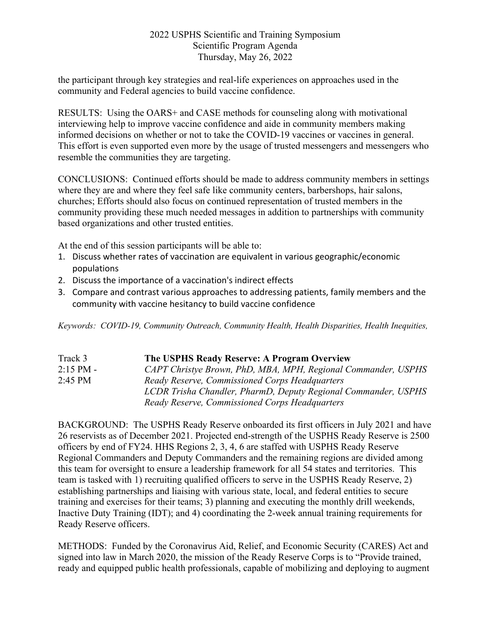the participant through key strategies and real-life experiences on approaches used in the community and Federal agencies to build vaccine confidence.

RESULTS: Using the OARS+ and CASE methods for counseling along with motivational interviewing help to improve vaccine confidence and aide in community members making informed decisions on whether or not to take the COVID-19 vaccines or vaccines in general. This effort is even supported even more by the usage of trusted messengers and messengers who resemble the communities they are targeting.

CONCLUSIONS: Continued efforts should be made to address community members in settings where they are and where they feel safe like community centers, barbershops, hair salons, churches; Efforts should also focus on continued representation of trusted members in the community providing these much needed messages in addition to partnerships with community based organizations and other trusted entities.

At the end of this session participants will be able to:

- 1. Discuss whether rates of vaccination are equivalent in various geographic/economic populations
- 2. Discuss the importance of a vaccination's indirect effects
- 3. Compare and contrast various approaches to addressing patients, family members and the community with vaccine hesitancy to build vaccine confidence

*Keywords: COVID-19, Community Outreach, Community Health, Health Disparities, Health Inequities,*

| Track 3     | The USPHS Ready Reserve: A Program Overview                    |
|-------------|----------------------------------------------------------------|
| $2:15$ PM - | CAPT Christye Brown, PhD, MBA, MPH, Regional Commander, USPHS  |
| $2:45$ PM   | Ready Reserve, Commissioned Corps Headquarters                 |
|             | LCDR Trisha Chandler, PharmD, Deputy Regional Commander, USPHS |
|             | Ready Reserve, Commissioned Corps Headquarters                 |

BACKGROUND: The USPHS Ready Reserve onboarded its first officers in July 2021 and have 26 reservists as of December 2021. Projected end-strength of the USPHS Ready Reserve is 2500 officers by end of FY24. HHS Regions 2, 3, 4, 6 are staffed with USPHS Ready Reserve Regional Commanders and Deputy Commanders and the remaining regions are divided among this team for oversight to ensure a leadership framework for all 54 states and territories. This team is tasked with 1) recruiting qualified officers to serve in the USPHS Ready Reserve, 2) establishing partnerships and liaising with various state, local, and federal entities to secure training and exercises for their teams; 3) planning and executing the monthly drill weekends, Inactive Duty Training (IDT); and 4) coordinating the 2-week annual training requirements for Ready Reserve officers.

METHODS: Funded by the Coronavirus Aid, Relief, and Economic Security (CARES) Act and signed into law in March 2020, the mission of the Ready Reserve Corps is to "Provide trained, ready and equipped public health professionals, capable of mobilizing and deploying to augment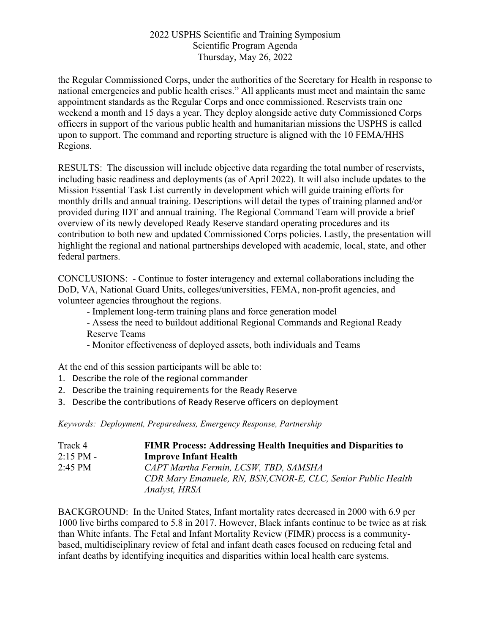the Regular Commissioned Corps, under the authorities of the Secretary for Health in response to national emergencies and public health crises." All applicants must meet and maintain the same appointment standards as the Regular Corps and once commissioned. Reservists train one weekend a month and 15 days a year. They deploy alongside active duty Commissioned Corps officers in support of the various public health and humanitarian missions the USPHS is called upon to support. The command and reporting structure is aligned with the 10 FEMA/HHS Regions.

RESULTS: The discussion will include objective data regarding the total number of reservists, including basic readiness and deployments (as of April 2022). It will also include updates to the Mission Essential Task List currently in development which will guide training efforts for monthly drills and annual training. Descriptions will detail the types of training planned and/or provided during IDT and annual training. The Regional Command Team will provide a brief overview of its newly developed Ready Reserve standard operating procedures and its contribution to both new and updated Commissioned Corps policies. Lastly, the presentation will highlight the regional and national partnerships developed with academic, local, state, and other federal partners.

CONCLUSIONS: - Continue to foster interagency and external collaborations including the DoD, VA, National Guard Units, colleges/universities, FEMA, non-profit agencies, and volunteer agencies throughout the regions.

- Implement long-term training plans and force generation model

- Assess the need to buildout additional Regional Commands and Regional Ready Reserve Teams

- Monitor effectiveness of deployed assets, both individuals and Teams

At the end of this session participants will be able to:

- 1. Describe the role of the regional commander
- 2. Describe the training requirements for the Ready Reserve
- 3. Describe the contributions of Ready Reserve officers on deployment

*Keywords: Deployment, Preparedness, Emergency Response, Partnership*

| Track 4           | <b>FIMR Process: Addressing Health Inequities and Disparities to</b> |
|-------------------|----------------------------------------------------------------------|
| $2:15$ PM -       | <b>Improve Infant Health</b>                                         |
| $2:45 \text{ PM}$ | CAPT Martha Fermin, LCSW, TBD, SAMSHA                                |
|                   | CDR Mary Emanuele, RN, BSN, CNOR-E, CLC, Senior Public Health        |
|                   | Analyst, HRSA                                                        |

BACKGROUND: In the United States, Infant mortality rates decreased in 2000 with 6.9 per 1000 live births compared to 5.8 in 2017. However, Black infants continue to be twice as at risk than White infants. The Fetal and Infant Mortality Review (FIMR) process is a communitybased, multidisciplinary review of fetal and infant death cases focused on reducing fetal and infant deaths by identifying inequities and disparities within local health care systems.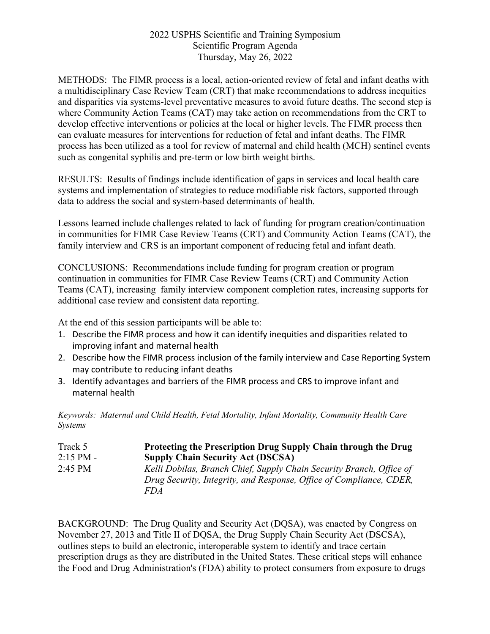METHODS: The FIMR process is a local, action-oriented review of fetal and infant deaths with a multidisciplinary Case Review Team (CRT) that make recommendations to address inequities and disparities via systems-level preventative measures to avoid future deaths. The second step is where Community Action Teams (CAT) may take action on recommendations from the CRT to develop effective interventions or policies at the local or higher levels. The FIMR process then can evaluate measures for interventions for reduction of fetal and infant deaths. The FIMR process has been utilized as a tool for review of maternal and child health (MCH) sentinel events such as congenital syphilis and pre-term or low birth weight births.

RESULTS: Results of findings include identification of gaps in services and local health care systems and implementation of strategies to reduce modifiable risk factors, supported through data to address the social and system-based determinants of health.

Lessons learned include challenges related to lack of funding for program creation/continuation in communities for FIMR Case Review Teams (CRT) and Community Action Teams (CAT), the family interview and CRS is an important component of reducing fetal and infant death.

CONCLUSIONS: Recommendations include funding for program creation or program continuation in communities for FIMR Case Review Teams (CRT) and Community Action Teams (CAT), increasing family interview component completion rates, increasing supports for additional case review and consistent data reporting.

At the end of this session participants will be able to:

- 1. Describe the FIMR process and how it can identify inequities and disparities related to improving infant and maternal health
- 2. Describe how the FIMR process inclusion of the family interview and Case Reporting System may contribute to reducing infant deaths
- 3. Identify advantages and barriers of the FIMR process and CRS to improve infant and maternal health

*Keywords: Maternal and Child Health, Fetal Mortality, Infant Mortality, Community Health Care Systems*

| Track 5     | Protecting the Prescription Drug Supply Chain through the Drug       |
|-------------|----------------------------------------------------------------------|
| $2:15$ PM - | <b>Supply Chain Security Act (DSCSA)</b>                             |
| $2:45$ PM   | Kelli Dobilas, Branch Chief, Supply Chain Security Branch, Office of |
|             | Drug Security, Integrity, and Response, Office of Compliance, CDER,  |
|             | FD A                                                                 |

BACKGROUND: The Drug Quality and Security Act (DQSA), was enacted by Congress on November 27, 2013 and Title II of DQSA, the Drug Supply Chain Security Act (DSCSA), outlines steps to build an electronic, interoperable system to identify and trace certain prescription drugs as they are distributed in the United States. These critical steps will enhance the Food and Drug Administration's (FDA) ability to protect consumers from exposure to drugs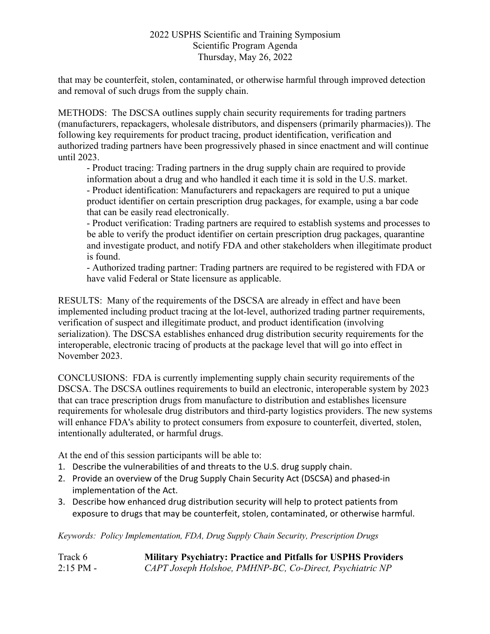that may be counterfeit, stolen, contaminated, or otherwise harmful through improved detection and removal of such drugs from the supply chain.

METHODS: The DSCSA outlines supply chain security requirements for trading partners (manufacturers, repackagers, wholesale distributors, and dispensers (primarily pharmacies)). The following key requirements for product tracing, product identification, verification and authorized trading partners have been progressively phased in since enactment and will continue until 2023.

- Product tracing: Trading partners in the drug supply chain are required to provide information about a drug and who handled it each time it is sold in the U.S. market. - Product identification: Manufacturers and repackagers are required to put a unique product identifier on certain prescription drug packages, for example, using a bar code that can be easily read electronically.

- Product verification: Trading partners are required to establish systems and processes to be able to verify the product identifier on certain prescription drug packages, quarantine and investigate product, and notify FDA and other stakeholders when illegitimate product is found.

- Authorized trading partner: Trading partners are required to be registered with FDA or have valid Federal or State licensure as applicable.

RESULTS: Many of the requirements of the DSCSA are already in effect and have been implemented including product tracing at the lot-level, authorized trading partner requirements, verification of suspect and illegitimate product, and product identification (involving serialization). The DSCSA establishes enhanced drug distribution security requirements for the interoperable, electronic tracing of products at the package level that will go into effect in November 2023.

CONCLUSIONS: FDA is currently implementing supply chain security requirements of the DSCSA. The DSCSA outlines requirements to build an electronic, interoperable system by 2023 that can trace prescription drugs from manufacture to distribution and establishes licensure requirements for wholesale drug distributors and third-party logistics providers. The new systems will enhance FDA's ability to protect consumers from exposure to counterfeit, diverted, stolen, intentionally adulterated, or harmful drugs.

At the end of this session participants will be able to:

- 1. Describe the vulnerabilities of and threats to the U.S. drug supply chain.
- 2. Provide an overview of the Drug Supply Chain Security Act (DSCSA) and phased-in implementation of the Act.
- 3. Describe how enhanced drug distribution security will help to protect patients from exposure to drugs that may be counterfeit, stolen, contaminated, or otherwise harmful.

*Keywords: Policy Implementation, FDA, Drug Supply Chain Security, Prescription Drugs*

| Track 6     | <b>Military Psychiatry: Practice and Pitfalls for USPHS Providers</b> |
|-------------|-----------------------------------------------------------------------|
| $2:15$ PM - | CAPT Joseph Holshoe, PMHNP-BC, Co-Direct, Psychiatric NP              |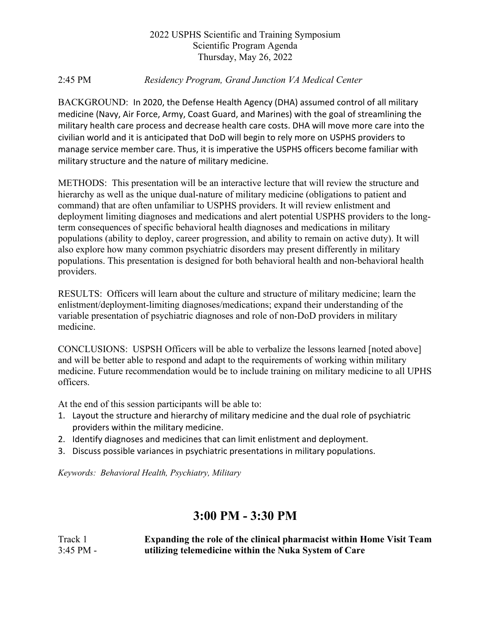#### 2:45 PM *Residency Program, Grand Junction VA Medical Center*

BACKGROUND: In 2020, the Defense Health Agency (DHA) assumed control of all military medicine (Navy, Air Force, Army, Coast Guard, and Marines) with the goal of streamlining the military health care process and decrease health care costs. DHA will move more care into the civilian world and it is anticipated that DoD will begin to rely more on USPHS providers to manage service member care. Thus, it is imperative the USPHS officers become familiar with military structure and the nature of military medicine.

METHODS: This presentation will be an interactive lecture that will review the structure and hierarchy as well as the unique dual-nature of military medicine (obligations to patient and command) that are often unfamiliar to USPHS providers. It will review enlistment and deployment limiting diagnoses and medications and alert potential USPHS providers to the longterm consequences of specific behavioral health diagnoses and medications in military populations (ability to deploy, career progression, and ability to remain on active duty). It will also explore how many common psychiatric disorders may present differently in military populations. This presentation is designed for both behavioral health and non-behavioral health providers.

RESULTS: Officers will learn about the culture and structure of military medicine; learn the enlistment/deployment-limiting diagnoses/medications; expand their understanding of the variable presentation of psychiatric diagnoses and role of non-DoD providers in military medicine.

CONCLUSIONS: USPSH Officers will be able to verbalize the lessons learned [noted above] and will be better able to respond and adapt to the requirements of working within military medicine. Future recommendation would be to include training on military medicine to all UPHS officers.

At the end of this session participants will be able to:

- 1. Layout the structure and hierarchy of military medicine and the dual role of psychiatric providers within the military medicine.
- 2. Identify diagnoses and medicines that can limit enlistment and deployment.
- 3. Discuss possible variances in psychiatric presentations in military populations.

*Keywords: Behavioral Health, Psychiatry, Military*

## **3:00 PM - 3:30 PM**

Track 1 **Expanding the role of the clinical pharmacist within Home Visit Team**  3:45 PM - **utilizing telemedicine within the Nuka System of Care**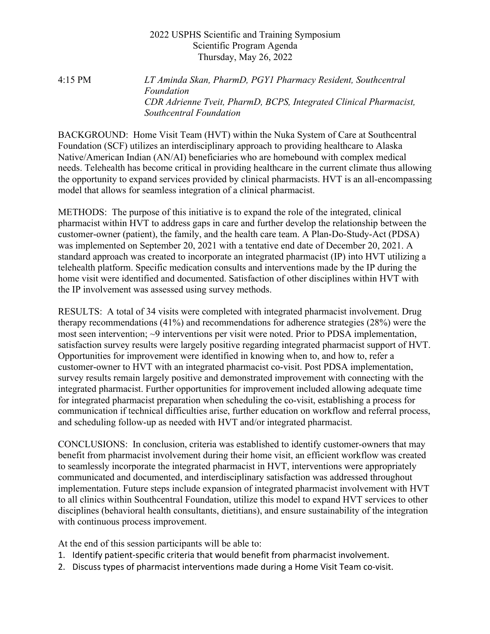4:15 PM *LT Aminda Skan, PharmD, PGY1 Pharmacy Resident, Southcentral Foundation CDR Adrienne Tveit, PharmD, BCPS, Integrated Clinical Pharmacist, Southcentral Foundation*

BACKGROUND: Home Visit Team (HVT) within the Nuka System of Care at Southcentral Foundation (SCF) utilizes an interdisciplinary approach to providing healthcare to Alaska Native/American Indian (AN/AI) beneficiaries who are homebound with complex medical needs. Telehealth has become critical in providing healthcare in the current climate thus allowing the opportunity to expand services provided by clinical pharmacists. HVT is an all-encompassing model that allows for seamless integration of a clinical pharmacist.

METHODS: The purpose of this initiative is to expand the role of the integrated, clinical pharmacist within HVT to address gaps in care and further develop the relationship between the customer-owner (patient), the family, and the health care team. A Plan-Do-Study-Act (PDSA) was implemented on September 20, 2021 with a tentative end date of December 20, 2021. A standard approach was created to incorporate an integrated pharmacist (IP) into HVT utilizing a telehealth platform. Specific medication consults and interventions made by the IP during the home visit were identified and documented. Satisfaction of other disciplines within HVT with the IP involvement was assessed using survey methods.

RESULTS: A total of 34 visits were completed with integrated pharmacist involvement. Drug therapy recommendations (41%) and recommendations for adherence strategies (28%) were the most seen intervention; ~9 interventions per visit were noted. Prior to PDSA implementation, satisfaction survey results were largely positive regarding integrated pharmacist support of HVT. Opportunities for improvement were identified in knowing when to, and how to, refer a customer-owner to HVT with an integrated pharmacist co-visit. Post PDSA implementation, survey results remain largely positive and demonstrated improvement with connecting with the integrated pharmacist. Further opportunities for improvement included allowing adequate time for integrated pharmacist preparation when scheduling the co-visit, establishing a process for communication if technical difficulties arise, further education on workflow and referral process, and scheduling follow-up as needed with HVT and/or integrated pharmacist.

CONCLUSIONS: In conclusion, criteria was established to identify customer-owners that may benefit from pharmacist involvement during their home visit, an efficient workflow was created to seamlessly incorporate the integrated pharmacist in HVT, interventions were appropriately communicated and documented, and interdisciplinary satisfaction was addressed throughout implementation. Future steps include expansion of integrated pharmacist involvement with HVT to all clinics within Southcentral Foundation, utilize this model to expand HVT services to other disciplines (behavioral health consultants, dietitians), and ensure sustainability of the integration with continuous process improvement.

At the end of this session participants will be able to:

- 1. Identify patient-specific criteria that would benefit from pharmacist involvement.
- 2. Discuss types of pharmacist interventions made during a Home Visit Team co-visit.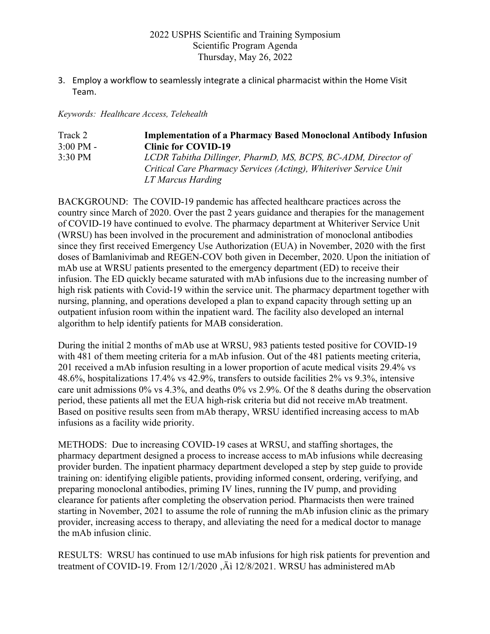3. Employ a workflow to seamlessly integrate a clinical pharmacist within the Home Visit Team.

*Keywords: Healthcare Access, Telehealth*

| Track 2             | <b>Implementation of a Pharmacy Based Monoclonal Antibody Infusion</b> |
|---------------------|------------------------------------------------------------------------|
| $3:00 \text{ PM} -$ | <b>Clinic for COVID-19</b>                                             |
| $3:30 \text{ PM}$   | LCDR Tabitha Dillinger, PharmD, MS, BCPS, BC-ADM, Director of          |
|                     | Critical Care Pharmacy Services (Acting), Whiteriver Service Unit      |
|                     | LT Marcus Harding                                                      |

BACKGROUND: The COVID-19 pandemic has affected healthcare practices across the country since March of 2020. Over the past 2 years guidance and therapies for the management of COVID-19 have continued to evolve. The pharmacy department at Whiteriver Service Unit (WRSU) has been involved in the procurement and administration of monoclonal antibodies since they first received Emergency Use Authorization (EUA) in November, 2020 with the first doses of Bamlanivimab and REGEN-COV both given in December, 2020. Upon the initiation of mAb use at WRSU patients presented to the emergency department (ED) to receive their infusion. The ED quickly became saturated with mAb infusions due to the increasing number of high risk patients with Covid-19 within the service unit. The pharmacy department together with nursing, planning, and operations developed a plan to expand capacity through setting up an outpatient infusion room within the inpatient ward. The facility also developed an internal algorithm to help identify patients for MAB consideration.

During the initial 2 months of mAb use at WRSU, 983 patients tested positive for COVID-19 with 481 of them meeting criteria for a mAb infusion. Out of the 481 patients meeting criteria, 201 received a mAb infusion resulting in a lower proportion of acute medical visits 29.4% vs 48.6%, hospitalizations 17.4% vs 42.9%, transfers to outside facilities 2% vs 9.3%, intensive care unit admissions 0% vs 4.3%, and deaths 0% vs 2.9%. Of the 8 deaths during the observation period, these patients all met the EUA high-risk criteria but did not receive mAb treatment. Based on positive results seen from mAb therapy, WRSU identified increasing access to mAb infusions as a facility wide priority.

METHODS: Due to increasing COVID-19 cases at WRSU, and staffing shortages, the pharmacy department designed a process to increase access to mAb infusions while decreasing provider burden. The inpatient pharmacy department developed a step by step guide to provide training on: identifying eligible patients, providing informed consent, ordering, verifying, and preparing monoclonal antibodies, priming IV lines, running the IV pump, and providing clearance for patients after completing the observation period. Pharmacists then were trained starting in November, 2021 to assume the role of running the mAb infusion clinic as the primary provider, increasing access to therapy, and alleviating the need for a medical doctor to manage the mAb infusion clinic.

RESULTS: WRSU has continued to use mAb infusions for high risk patients for prevention and treatment of COVID-19. From 12/1/2020 , At 12/8/2021. WRSU has administered mAb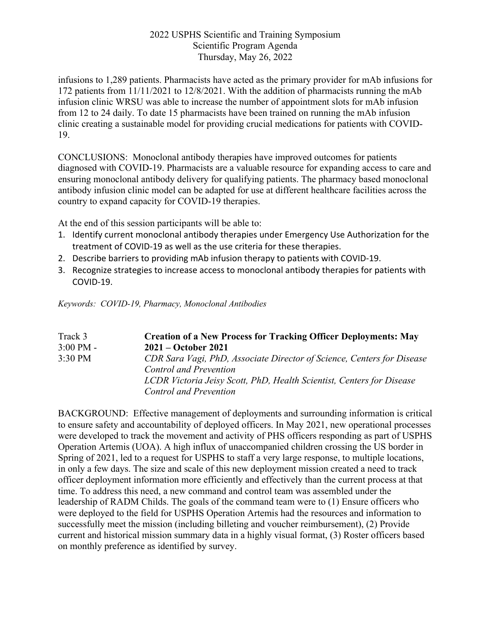infusions to 1,289 patients. Pharmacists have acted as the primary provider for mAb infusions for 172 patients from 11/11/2021 to 12/8/2021. With the addition of pharmacists running the mAb infusion clinic WRSU was able to increase the number of appointment slots for mAb infusion from 12 to 24 daily. To date 15 pharmacists have been trained on running the mAb infusion clinic creating a sustainable model for providing crucial medications for patients with COVID-19.

CONCLUSIONS: Monoclonal antibody therapies have improved outcomes for patients diagnosed with COVID-19. Pharmacists are a valuable resource for expanding access to care and ensuring monoclonal antibody delivery for qualifying patients. The pharmacy based monoclonal antibody infusion clinic model can be adapted for use at different healthcare facilities across the country to expand capacity for COVID-19 therapies.

At the end of this session participants will be able to:

- 1. Identify current monoclonal antibody therapies under Emergency Use Authorization for the treatment of COVID-19 as well as the use criteria for these therapies.
- 2. Describe barriers to providing mAb infusion therapy to patients with COVID-19.
- 3. Recognize strategies to increase access to monoclonal antibody therapies for patients with COVID-19.

*Keywords: COVID-19, Pharmacy, Monoclonal Antibodies*

| Track 3             | <b>Creation of a New Process for Tracking Officer Deployments: May</b>                                  |
|---------------------|---------------------------------------------------------------------------------------------------------|
| $3:00 \text{ PM} -$ | $2021 - October 2021$                                                                                   |
| 3:30 PM             | CDR Sara Vagi, PhD, Associate Director of Science, Centers for Disease<br><b>Control and Prevention</b> |
|                     | LCDR Victoria Jeisy Scott, PhD, Health Scientist, Centers for Disease                                   |
|                     | <b>Control and Prevention</b>                                                                           |

BACKGROUND: Effective management of deployments and surrounding information is critical to ensure safety and accountability of deployed officers. In May 2021, new operational processes were developed to track the movement and activity of PHS officers responding as part of USPHS Operation Artemis (UOA). A high influx of unaccompanied children crossing the US border in Spring of 2021, led to a request for USPHS to staff a very large response, to multiple locations, in only a few days. The size and scale of this new deployment mission created a need to track officer deployment information more efficiently and effectively than the current process at that time. To address this need, a new command and control team was assembled under the leadership of RADM Childs. The goals of the command team were to (1) Ensure officers who were deployed to the field for USPHS Operation Artemis had the resources and information to successfully meet the mission (including billeting and voucher reimbursement), (2) Provide current and historical mission summary data in a highly visual format, (3) Roster officers based on monthly preference as identified by survey.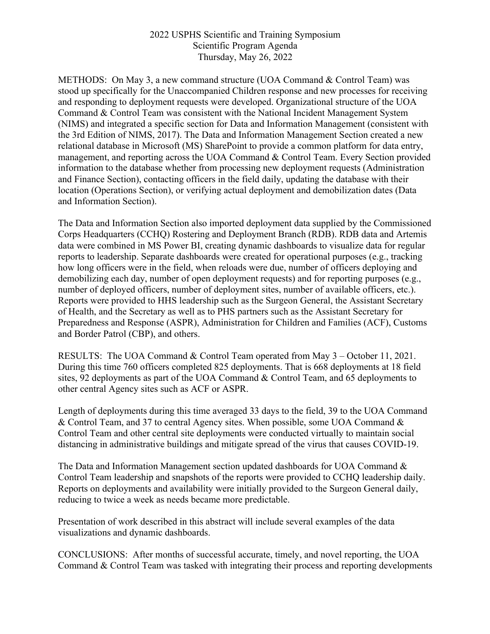METHODS: On May 3, a new command structure (UOA Command & Control Team) was stood up specifically for the Unaccompanied Children response and new processes for receiving and responding to deployment requests were developed. Organizational structure of the UOA Command & Control Team was consistent with the National Incident Management System (NIMS) and integrated a specific section for Data and Information Management (consistent with the 3rd Edition of NIMS, 2017). The Data and Information Management Section created a new relational database in Microsoft (MS) SharePoint to provide a common platform for data entry, management, and reporting across the UOA Command & Control Team. Every Section provided information to the database whether from processing new deployment requests (Administration and Finance Section), contacting officers in the field daily, updating the database with their location (Operations Section), or verifying actual deployment and demobilization dates (Data and Information Section).

The Data and Information Section also imported deployment data supplied by the Commissioned Corps Headquarters (CCHQ) Rostering and Deployment Branch (RDB). RDB data and Artemis data were combined in MS Power BI, creating dynamic dashboards to visualize data for regular reports to leadership. Separate dashboards were created for operational purposes (e.g., tracking how long officers were in the field, when reloads were due, number of officers deploying and demobilizing each day, number of open deployment requests) and for reporting purposes (e.g., number of deployed officers, number of deployment sites, number of available officers, etc.). Reports were provided to HHS leadership such as the Surgeon General, the Assistant Secretary of Health, and the Secretary as well as to PHS partners such as the Assistant Secretary for Preparedness and Response (ASPR), Administration for Children and Families (ACF), Customs and Border Patrol (CBP), and others.

RESULTS: The UOA Command & Control Team operated from May 3 – October 11, 2021. During this time 760 officers completed 825 deployments. That is 668 deployments at 18 field sites, 92 deployments as part of the UOA Command & Control Team, and 65 deployments to other central Agency sites such as ACF or ASPR.

Length of deployments during this time averaged 33 days to the field, 39 to the UOA Command & Control Team, and 37 to central Agency sites. When possible, some UOA Command & Control Team and other central site deployments were conducted virtually to maintain social distancing in administrative buildings and mitigate spread of the virus that causes COVID-19.

The Data and Information Management section updated dashboards for UOA Command & Control Team leadership and snapshots of the reports were provided to CCHQ leadership daily. Reports on deployments and availability were initially provided to the Surgeon General daily, reducing to twice a week as needs became more predictable.

Presentation of work described in this abstract will include several examples of the data visualizations and dynamic dashboards.

CONCLUSIONS: After months of successful accurate, timely, and novel reporting, the UOA Command & Control Team was tasked with integrating their process and reporting developments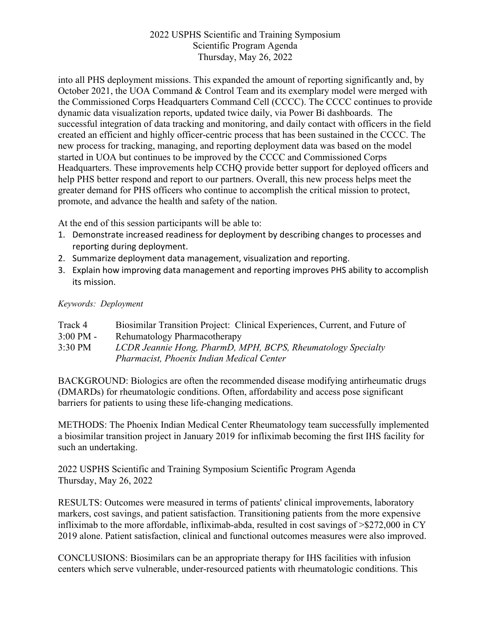into all PHS deployment missions. This expanded the amount of reporting significantly and, by October 2021, the UOA Command & Control Team and its exemplary model were merged with the Commissioned Corps Headquarters Command Cell (CCCC). The CCCC continues to provide dynamic data visualization reports, updated twice daily, via Power Bi dashboards. The successful integration of data tracking and monitoring, and daily contact with officers in the field created an efficient and highly officer-centric process that has been sustained in the CCCC. The new process for tracking, managing, and reporting deployment data was based on the model started in UOA but continues to be improved by the CCCC and Commissioned Corps Headquarters. These improvements help CCHQ provide better support for deployed officers and help PHS better respond and report to our partners. Overall, this new process helps meet the greater demand for PHS officers who continue to accomplish the critical mission to protect, promote, and advance the health and safety of the nation.

At the end of this session participants will be able to:

- 1. Demonstrate increased readiness for deployment by describing changes to processes and reporting during deployment.
- 2. Summarize deployment data management, visualization and reporting.
- 3. Explain how improving data management and reporting improves PHS ability to accomplish its mission.

*Keywords: Deployment*

- Track 4 Biosimilar Transition Project: Clinical Experiences, Current, and Future of
- 3:00 PM Rehumatology Pharmacotherapy
- 3:30 PM *LCDR Jeannie Hong, PharmD, MPH, BCPS, Rheumatology Specialty Pharmacist, Phoenix Indian Medical Center*

BACKGROUND: Biologics are often the recommended disease modifying antirheumatic drugs (DMARDs) for rheumatologic conditions. Often, affordability and access pose significant barriers for patients to using these life-changing medications.

METHODS: The Phoenix Indian Medical Center Rheumatology team successfully implemented a biosimilar transition project in January 2019 for infliximab becoming the first IHS facility for such an undertaking.

2022 USPHS Scientific and Training Symposium Scientific Program Agenda Thursday, May 26, 2022

RESULTS: Outcomes were measured in terms of patients' clinical improvements, laboratory markers, cost savings, and patient satisfaction. Transitioning patients from the more expensive infliximab to the more affordable, infliximab-abda, resulted in cost savings of >\$272,000 in CY 2019 alone. Patient satisfaction, clinical and functional outcomes measures were also improved.

CONCLUSIONS: Biosimilars can be an appropriate therapy for IHS facilities with infusion centers which serve vulnerable, under-resourced patients with rheumatologic conditions. This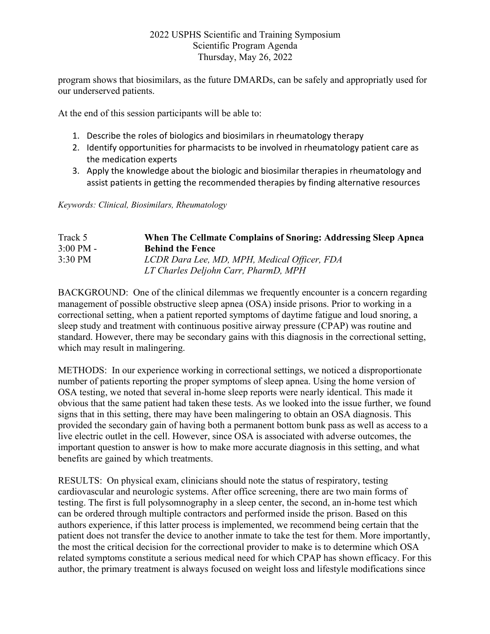program shows that biosimilars, as the future DMARDs, can be safely and appropriatly used for our underserved patients.

At the end of this session participants will be able to:

- 1. Describe the roles of biologics and biosimilars in rheumatology therapy
- 2. Identify opportunities for pharmacists to be involved in rheumatology patient care as the medication experts
- 3. Apply the knowledge about the biologic and biosimilar therapies in rheumatology and assist patients in getting the recommended therapies by finding alternative resources

*Keywords: Clinical, Biosimilars, Rheumatology* 

| Track 5             | When The Cellmate Complains of Snoring: Addressing Sleep Apnea |
|---------------------|----------------------------------------------------------------|
| $3:00 \text{ PM}$ - | <b>Behind the Fence</b>                                        |
| $3:30 \text{ PM}$   | LCDR Dara Lee, MD, MPH, Medical Officer, FDA                   |
|                     | LT Charles Deljohn Carr, PharmD, MPH                           |

BACKGROUND: One of the clinical dilemmas we frequently encounter is a concern regarding management of possible obstructive sleep apnea (OSA) inside prisons. Prior to working in a correctional setting, when a patient reported symptoms of daytime fatigue and loud snoring, a sleep study and treatment with continuous positive airway pressure (CPAP) was routine and standard. However, there may be secondary gains with this diagnosis in the correctional setting, which may result in malingering.

METHODS: In our experience working in correctional settings, we noticed a disproportionate number of patients reporting the proper symptoms of sleep apnea. Using the home version of OSA testing, we noted that several in-home sleep reports were nearly identical. This made it obvious that the same patient had taken these tests. As we looked into the issue further, we found signs that in this setting, there may have been malingering to obtain an OSA diagnosis. This provided the secondary gain of having both a permanent bottom bunk pass as well as access to a live electric outlet in the cell. However, since OSA is associated with adverse outcomes, the important question to answer is how to make more accurate diagnosis in this setting, and what benefits are gained by which treatments.

RESULTS: On physical exam, clinicians should note the status of respiratory, testing cardiovascular and neurologic systems. After office screening, there are two main forms of testing. The first is full polysomnography in a sleep center, the second, an in-home test which can be ordered through multiple contractors and performed inside the prison. Based on this authors experience, if this latter process is implemented, we recommend being certain that the patient does not transfer the device to another inmate to take the test for them. More importantly, the most the critical decision for the correctional provider to make is to determine which OSA related symptoms constitute a serious medical need for which CPAP has shown efficacy. For this author, the primary treatment is always focused on weight loss and lifestyle modifications since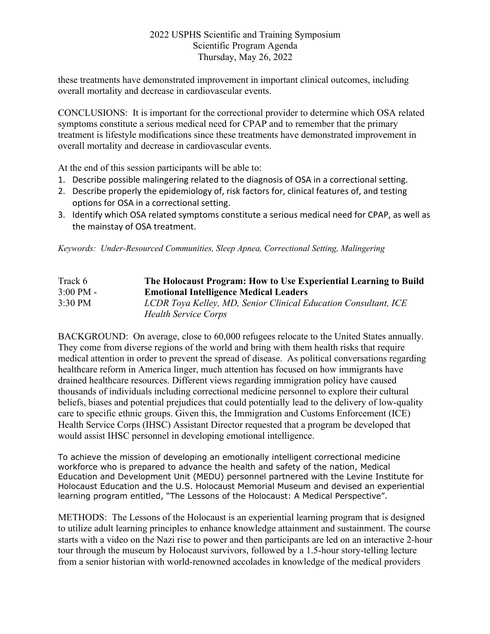these treatments have demonstrated improvement in important clinical outcomes, including overall mortality and decrease in cardiovascular events.

CONCLUSIONS: It is important for the correctional provider to determine which OSA related symptoms constitute a serious medical need for CPAP and to remember that the primary treatment is lifestyle modifications since these treatments have demonstrated improvement in overall mortality and decrease in cardiovascular events.

At the end of this session participants will be able to:

- 1. Describe possible malingering related to the diagnosis of OSA in a correctional setting.
- 2. Describe properly the epidemiology of, risk factors for, clinical features of, and testing options for OSA in a correctional setting.
- 3. Identify which OSA related symptoms constitute a serious medical need for CPAP, as well as the mainstay of OSA treatment.

*Keywords: Under-Resourced Communities, Sleep Apnea, Correctional Setting, Malingering*

| Track 6             | The Holocaust Program: How to Use Experiential Learning to Build |
|---------------------|------------------------------------------------------------------|
| $3:00 \text{ PM} -$ | <b>Emotional Intelligence Medical Leaders</b>                    |
| $3:30$ PM           | LCDR Toya Kelley, MD, Senior Clinical Education Consultant, ICE  |
|                     | <b>Health Service Corps</b>                                      |

BACKGROUND: On average, close to 60,000 refugees relocate to the United States annually. They come from diverse regions of the world and bring with them health risks that require medical attention in order to prevent the spread of disease. As political conversations regarding healthcare reform in America linger, much attention has focused on how immigrants have drained healthcare resources. Different views regarding immigration policy have caused thousands of individuals including correctional medicine personnel to explore their cultural beliefs, biases and potential prejudices that could potentially lead to the delivery of low-quality care to specific ethnic groups. Given this, the Immigration and Customs Enforcement (ICE) Health Service Corps (IHSC) Assistant Director requested that a program be developed that would assist IHSC personnel in developing emotional intelligence.

To achieve the mission of developing an emotionally intelligent correctional medicine workforce who is prepared to advance the health and safety of the nation, Medical Education and Development Unit (MEDU) personnel partnered with the Levine Institute for Holocaust Education and the U.S. Holocaust Memorial Museum and devised an experiential learning program entitled, "The Lessons of the Holocaust: A Medical Perspective".

METHODS: The Lessons of the Holocaust is an experiential learning program that is designed to utilize adult learning principles to enhance knowledge attainment and sustainment. The course starts with a video on the Nazi rise to power and then participants are led on an interactive 2-hour tour through the museum by Holocaust survivors, followed by a 1.5-hour story-telling lecture from a senior historian with world-renowned accolades in knowledge of the medical providers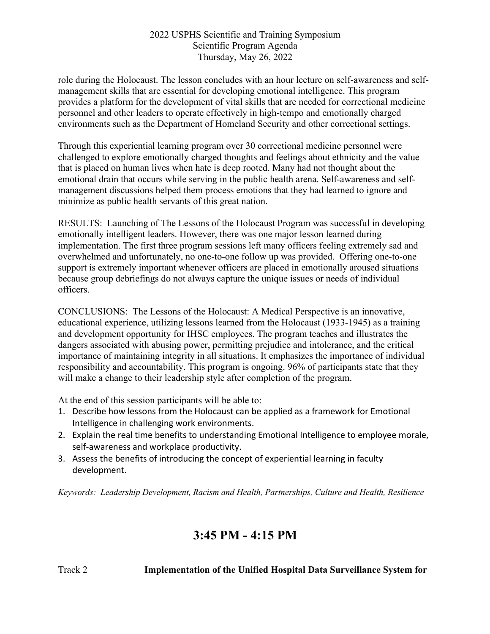role during the Holocaust. The lesson concludes with an hour lecture on self-awareness and selfmanagement skills that are essential for developing emotional intelligence. This program provides a platform for the development of vital skills that are needed for correctional medicine personnel and other leaders to operate effectively in high-tempo and emotionally charged environments such as the Department of Homeland Security and other correctional settings.

Through this experiential learning program over 30 correctional medicine personnel were challenged to explore emotionally charged thoughts and feelings about ethnicity and the value that is placed on human lives when hate is deep rooted. Many had not thought about the emotional drain that occurs while serving in the public health arena. Self-awareness and selfmanagement discussions helped them process emotions that they had learned to ignore and minimize as public health servants of this great nation.

RESULTS: Launching of The Lessons of the Holocaust Program was successful in developing emotionally intelligent leaders. However, there was one major lesson learned during implementation. The first three program sessions left many officers feeling extremely sad and overwhelmed and unfortunately, no one-to-one follow up was provided. Offering one-to-one support is extremely important whenever officers are placed in emotionally aroused situations because group debriefings do not always capture the unique issues or needs of individual officers.

CONCLUSIONS: The Lessons of the Holocaust: A Medical Perspective is an innovative, educational experience, utilizing lessons learned from the Holocaust (1933-1945) as a training and development opportunity for IHSC employees. The program teaches and illustrates the dangers associated with abusing power, permitting prejudice and intolerance, and the critical importance of maintaining integrity in all situations. It emphasizes the importance of individual responsibility and accountability. This program is ongoing. 96% of participants state that they will make a change to their leadership style after completion of the program.

At the end of this session participants will be able to:

- 1. Describe how lessons from the Holocaust can be applied as a framework for Emotional Intelligence in challenging work environments.
- 2. Explain the real time benefits to understanding Emotional Intelligence to employee morale, self-awareness and workplace productivity.
- 3. Assess the benefits of introducing the concept of experiential learning in faculty development.

*Keywords: Leadership Development, Racism and Health, Partnerships, Culture and Health, Resilience*

# **3:45 PM - 4:15 PM**

Track 2 **Implementation of the Unified Hospital Data Surveillance System for**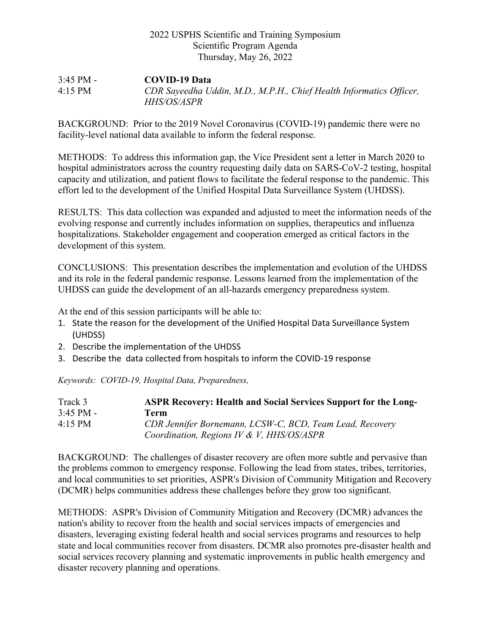3:45 PM - **COVID-19 Data** 4:15 PM *CDR Sayeedha Uddin, M.D., M.P.H., Chief Health Informatics Officer, HHS/OS/ASPR*

BACKGROUND: Prior to the 2019 Novel Coronavirus (COVID-19) pandemic there were no facility-level national data available to inform the federal response.

METHODS: To address this information gap, the Vice President sent a letter in March 2020 to hospital administrators across the country requesting daily data on SARS-CoV-2 testing, hospital capacity and utilization, and patient flows to facilitate the federal response to the pandemic. This effort led to the development of the Unified Hospital Data Surveillance System (UHDSS).

RESULTS: This data collection was expanded and adjusted to meet the information needs of the evolving response and currently includes information on supplies, therapeutics and influenza hospitalizations. Stakeholder engagement and cooperation emerged as critical factors in the development of this system.

CONCLUSIONS: This presentation describes the implementation and evolution of the UHDSS and its role in the federal pandemic response. Lessons learned from the implementation of the UHDSS can guide the development of an all-hazards emergency preparedness system.

At the end of this session participants will be able to:

- 1. State the reason for the development of the Unified Hospital Data Surveillance System (UHDSS)
- 2. Describe the implementation of the UHDSS
- 3. Describe the data collected from hospitals to inform the COVID-19 response

*Keywords: COVID-19, Hospital Data, Preparedness,*

| Track 3             | <b>ASPR Recovery: Health and Social Services Support for the Long-</b> |
|---------------------|------------------------------------------------------------------------|
| $3:45 \text{ PM} -$ | Term-                                                                  |
| $4:15$ PM           | CDR Jennifer Bornemann, LCSW-C, BCD, Team Lead, Recovery               |
|                     | Coordination, Regions IV & V, HHS/OS/ASPR                              |

BACKGROUND: The challenges of disaster recovery are often more subtle and pervasive than the problems common to emergency response. Following the lead from states, tribes, territories, and local communities to set priorities, ASPR's Division of Community Mitigation and Recovery (DCMR) helps communities address these challenges before they grow too significant.

METHODS: ASPR's Division of Community Mitigation and Recovery (DCMR) advances the nation's ability to recover from the health and social services impacts of emergencies and disasters, leveraging existing federal health and social services programs and resources to help state and local communities recover from disasters. DCMR also promotes pre-disaster health and social services recovery planning and systematic improvements in public health emergency and disaster recovery planning and operations.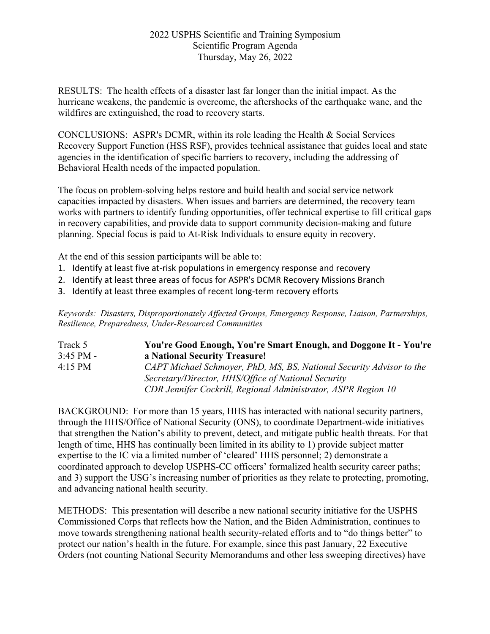RESULTS: The health effects of a disaster last far longer than the initial impact. As the hurricane weakens, the pandemic is overcome, the aftershocks of the earthquake wane, and the wildfires are extinguished, the road to recovery starts.

CONCLUSIONS: ASPR's DCMR, within its role leading the Health & Social Services Recovery Support Function (HSS RSF), provides technical assistance that guides local and state agencies in the identification of specific barriers to recovery, including the addressing of Behavioral Health needs of the impacted population.

The focus on problem-solving helps restore and build health and social service network capacities impacted by disasters. When issues and barriers are determined, the recovery team works with partners to identify funding opportunities, offer technical expertise to fill critical gaps in recovery capabilities, and provide data to support community decision-making and future planning. Special focus is paid to At-Risk Individuals to ensure equity in recovery.

At the end of this session participants will be able to:

- 1. Identify at least five at-risk populations in emergency response and recovery
- 2. Identify at least three areas of focus for ASPR's DCMR Recovery Missions Branch
- 3. Identify at least three examples of recent long-term recovery efforts

*Keywords: Disasters, Disproportionately Affected Groups, Emergency Response, Liaison, Partnerships, Resilience, Preparedness, Under-Resourced Communities*

| Track 5           | You're Good Enough, You're Smart Enough, and Doggone It - You're     |
|-------------------|----------------------------------------------------------------------|
| $3:45$ PM -       | a National Security Treasure!                                        |
| $4:15 \text{ PM}$ | CAPT Michael Schmoyer, PhD, MS, BS, National Security Advisor to the |
|                   | Secretary/Director, HHS/Office of National Security                  |
|                   | CDR Jennifer Cockrill, Regional Administrator, ASPR Region 10        |

BACKGROUND: For more than 15 years, HHS has interacted with national security partners, through the HHS/Office of National Security (ONS), to coordinate Department-wide initiatives that strengthen the Nation's ability to prevent, detect, and mitigate public health threats. For that length of time, HHS has continually been limited in its ability to 1) provide subject matter expertise to the IC via a limited number of 'cleared' HHS personnel; 2) demonstrate a coordinated approach to develop USPHS-CC officers' formalized health security career paths; and 3) support the USG's increasing number of priorities as they relate to protecting, promoting, and advancing national health security.

METHODS: This presentation will describe a new national security initiative for the USPHS Commissioned Corps that reflects how the Nation, and the Biden Administration, continues to move towards strengthening national health security-related efforts and to "do things better" to protect our nation's health in the future. For example, since this past January, 22 Executive Orders (not counting National Security Memorandums and other less sweeping directives) have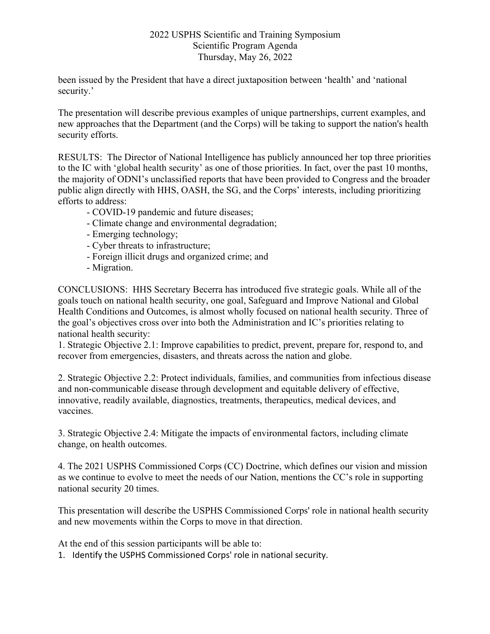been issued by the President that have a direct juxtaposition between 'health' and 'national security.'

The presentation will describe previous examples of unique partnerships, current examples, and new approaches that the Department (and the Corps) will be taking to support the nation's health security efforts.

RESULTS: The Director of National Intelligence has publicly announced her top three priorities to the IC with 'global health security' as one of those priorities. In fact, over the past 10 months, the majority of ODNI's unclassified reports that have been provided to Congress and the broader public align directly with HHS, OASH, the SG, and the Corps' interests, including prioritizing efforts to address:

- COVID-19 pandemic and future diseases;
- Climate change and environmental degradation;
- Emerging technology;
- Cyber threats to infrastructure;
- Foreign illicit drugs and organized crime; and
- Migration.

CONCLUSIONS: HHS Secretary Becerra has introduced five strategic goals. While all of the goals touch on national health security, one goal, Safeguard and Improve National and Global Health Conditions and Outcomes, is almost wholly focused on national health security. Three of the goal's objectives cross over into both the Administration and IC's priorities relating to national health security:

1. Strategic Objective 2.1: Improve capabilities to predict, prevent, prepare for, respond to, and recover from emergencies, disasters, and threats across the nation and globe.

2. Strategic Objective 2.2: Protect individuals, families, and communities from infectious disease and non-communicable disease through development and equitable delivery of effective, innovative, readily available, diagnostics, treatments, therapeutics, medical devices, and vaccines.

3. Strategic Objective 2.4: Mitigate the impacts of environmental factors, including climate change, on health outcomes.

4. The 2021 USPHS Commissioned Corps (CC) Doctrine, which defines our vision and mission as we continue to evolve to meet the needs of our Nation, mentions the CC's role in supporting national security 20 times.

This presentation will describe the USPHS Commissioned Corps' role in national health security and new movements within the Corps to move in that direction.

At the end of this session participants will be able to:

1. Identify the USPHS Commissioned Corps' role in national security.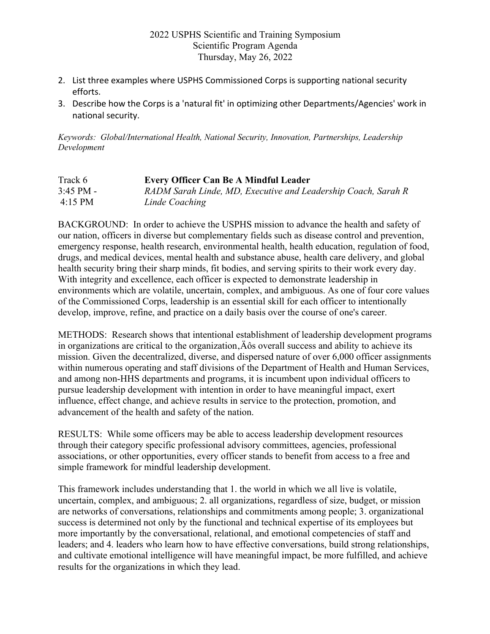- 2. List three examples where USPHS Commissioned Corps is supporting national security efforts.
- 3. Describe how the Corps is a 'natural fit' in optimizing other Departments/Agencies' work in national security.

*Keywords: Global/International Health, National Security, Innovation, Partnerships, Leadership Development*

| Track 6     | <b>Every Officer Can Be A Mindful Leader</b>                  |
|-------------|---------------------------------------------------------------|
| $3:45$ PM - | RADM Sarah Linde, MD, Executive and Leadership Coach, Sarah R |
| 4:15 PM     | Linde Coaching                                                |

BACKGROUND: In order to achieve the USPHS mission to advance the health and safety of our nation, officers in diverse but complementary fields such as disease control and prevention, emergency response, health research, environmental health, health education, regulation of food, drugs, and medical devices, mental health and substance abuse, health care delivery, and global health security bring their sharp minds, fit bodies, and serving spirits to their work every day. With integrity and excellence, each officer is expected to demonstrate leadership in environments which are volatile, uncertain, complex, and ambiguous. As one of four core values of the Commissioned Corps, leadership is an essential skill for each officer to intentionally develop, improve, refine, and practice on a daily basis over the course of one's career.

METHODS: Research shows that intentional establishment of leadership development programs in organizations are critical to the organization, $\ddot{A}$  os overall success and ability to achieve its mission. Given the decentralized, diverse, and dispersed nature of over 6,000 officer assignments within numerous operating and staff divisions of the Department of Health and Human Services, and among non-HHS departments and programs, it is incumbent upon individual officers to pursue leadership development with intention in order to have meaningful impact, exert influence, effect change, and achieve results in service to the protection, promotion, and advancement of the health and safety of the nation.

RESULTS: While some officers may be able to access leadership development resources through their category specific professional advisory committees, agencies, professional associations, or other opportunities, every officer stands to benefit from access to a free and simple framework for mindful leadership development.

This framework includes understanding that 1. the world in which we all live is volatile, uncertain, complex, and ambiguous; 2. all organizations, regardless of size, budget, or mission are networks of conversations, relationships and commitments among people; 3. organizational success is determined not only by the functional and technical expertise of its employees but more importantly by the conversational, relational, and emotional competencies of staff and leaders; and 4. leaders who learn how to have effective conversations, build strong relationships, and cultivate emotional intelligence will have meaningful impact, be more fulfilled, and achieve results for the organizations in which they lead.